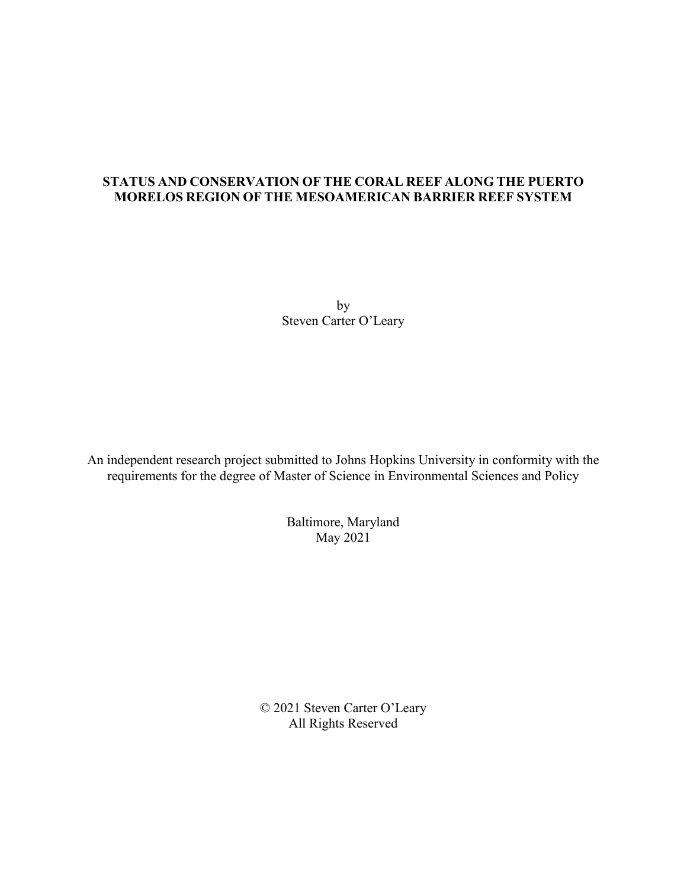### **STATUS AND CONSERVATION OF THE CORAL REEF ALONG THE PUERTO MORELOS REGION OF THE MESOAMERICAN BARRIER REEF SYSTEM**

by Steven Carter O'Leary

An independent research project submitted to Johns Hopkins University in conformity with the requirements for the degree of Master of Science in Environmental Sciences and Policy

> Baltimore, Maryland May 2021

© 2021 Steven Carter O'Leary All Rights Reserved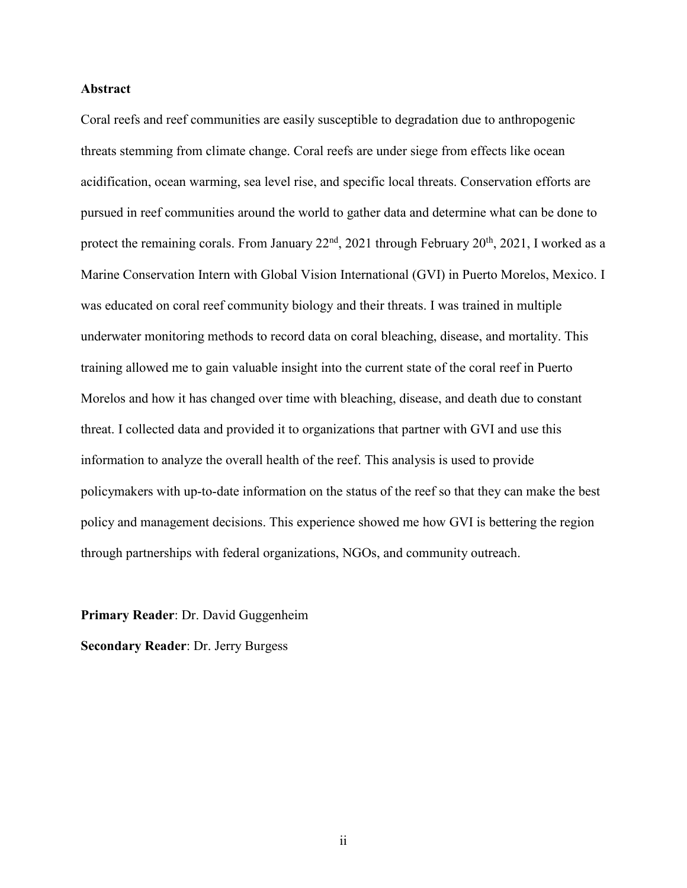### **Abstract**

Coral reefs and reef communities are easily susceptible to degradation due to anthropogenic threats stemming from climate change. Coral reefs are under siege from effects like ocean acidification, ocean warming, sea level rise, and specific local threats. Conservation efforts are pursued in reef communities around the world to gather data and determine what can be done to protect the remaining corals. From January  $22<sup>nd</sup>$ ,  $2021$  through February  $20<sup>th</sup>$ ,  $2021$ , I worked as a Marine Conservation Intern with Global Vision International (GVI) in Puerto Morelos, Mexico. I was educated on coral reef community biology and their threats. I was trained in multiple underwater monitoring methods to record data on coral bleaching, disease, and mortality. This training allowed me to gain valuable insight into the current state of the coral reef in Puerto Morelos and how it has changed over time with bleaching, disease, and death due to constant threat. I collected data and provided it to organizations that partner with GVI and use this information to analyze the overall health of the reef. This analysis is used to provide policymakers with up-to-date information on the status of the reef so that they can make the best policy and management decisions. This experience showed me how GVI is bettering the region through partnerships with federal organizations, NGOs, and community outreach.

**Primary Reader**: Dr. David Guggenheim **Secondary Reader**: Dr. Jerry Burgess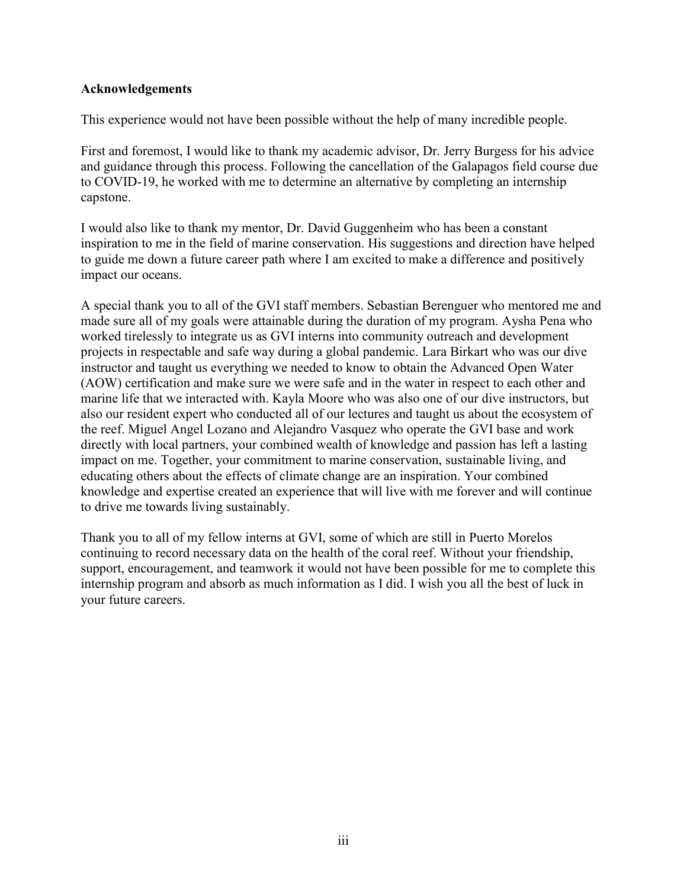### **Acknowledgements**

This experience would not have been possible without the help of many incredible people.

First and foremost, I would like to thank my academic advisor, Dr. Jerry Burgess for his advice and guidance through this process. Following the cancellation of the Galapagos field course due to COVID-19, he worked with me to determine an alternative by completing an internship capstone.

I would also like to thank my mentor, Dr. David Guggenheim who has been a constant inspiration to me in the field of marine conservation. His suggestions and direction have helped to guide me down a future career path where I am excited to make a difference and positively impact our oceans.

A special thank you to all of the GVI staff members. Sebastian Berenguer who mentored me and made sure all of my goals were attainable during the duration of my program. Aysha Pena who worked tirelessly to integrate us as GVI interns into community outreach and development projects in respectable and safe way during a global pandemic. Lara Birkart who was our dive instructor and taught us everything we needed to know to obtain the Advanced Open Water (AOW) certification and make sure we were safe and in the water in respect to each other and marine life that we interacted with. Kayla Moore who was also one of our dive instructors, but also our resident expert who conducted all of our lectures and taught us about the ecosystem of the reef. Miguel Angel Lozano and Alejandro Vasquez who operate the GVI base and work directly with local partners, your combined wealth of knowledge and passion has left a lasting impact on me. Together, your commitment to marine conservation, sustainable living, and educating others about the effects of climate change are an inspiration. Your combined knowledge and expertise created an experience that will live with me forever and will continue to drive me towards living sustainably.

Thank you to all of my fellow interns at GVI, some of which are still in Puerto Morelos continuing to record necessary data on the health of the coral reef. Without your friendship, support, encouragement, and teamwork it would not have been possible for me to complete this internship program and absorb as much information as I did. I wish you all the best of luck in your future careers.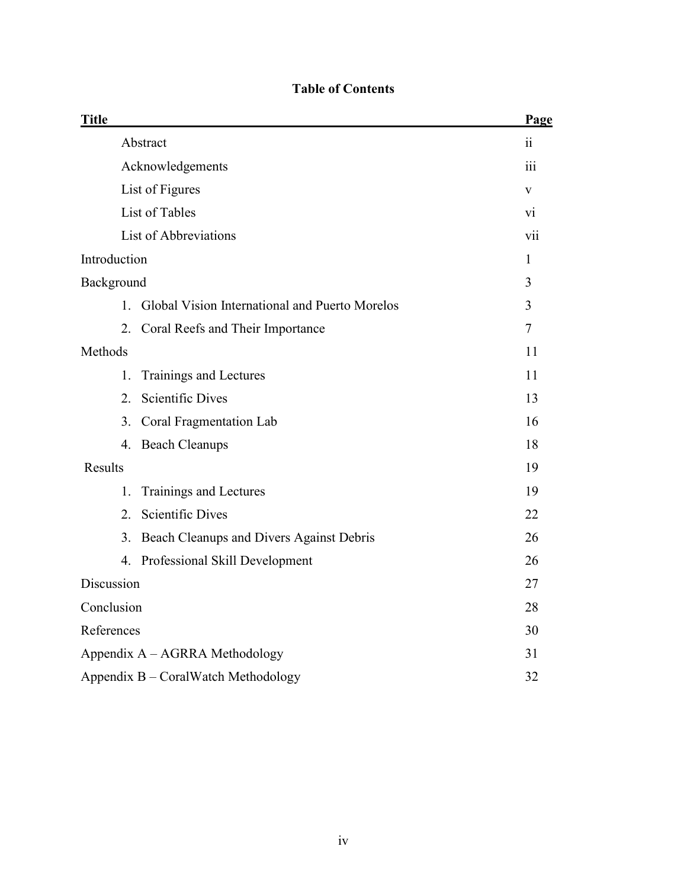| <b>Title</b>                                      | Page             |
|---------------------------------------------------|------------------|
| Abstract                                          | ii               |
| Acknowledgements                                  | $\overline{111}$ |
| List of Figures                                   | V                |
| List of Tables                                    | V1               |
| List of Abbreviations                             | vii              |
| Introduction                                      | 1                |
| Background                                        | 3                |
| 1. Global Vision International and Puerto Morelos | 3                |
| 2. Coral Reefs and Their Importance               | $\tau$           |
| Methods                                           | 11               |
| 1.<br>Trainings and Lectures                      | 11               |
| <b>Scientific Dives</b><br>2.                     | 13               |
| 3.<br>Coral Fragmentation Lab                     | 16               |
| 4. Beach Cleanups                                 | 18               |
| <b>Results</b>                                    | 19               |
| Trainings and Lectures<br>1.                      | 19               |
| 2. Scientific Dives                               | 22               |
| Beach Cleanups and Divers Against Debris<br>3.    | 26               |
| 4. Professional Skill Development                 | 26               |
| Discussion                                        | 27               |
| Conclusion                                        | 28               |
| References                                        | 30               |
| Appendix A – AGRRA Methodology                    | 31               |
| Appendix B - CoralWatch Methodology               | 32               |

# **Table of Contents**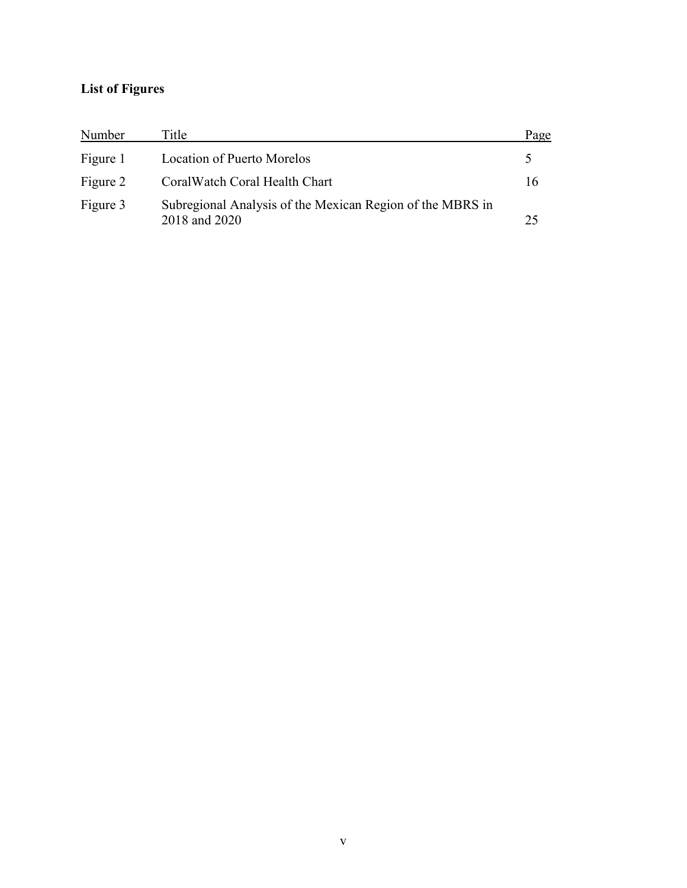# **List of Figures**

| Number   | Title                                                                      | Page |
|----------|----------------------------------------------------------------------------|------|
| Figure 1 | <b>Location of Puerto Morelos</b>                                          |      |
| Figure 2 | Coral Watch Coral Health Chart                                             | 16   |
| Figure 3 | Subregional Analysis of the Mexican Region of the MBRS in<br>2018 and 2020 | 25   |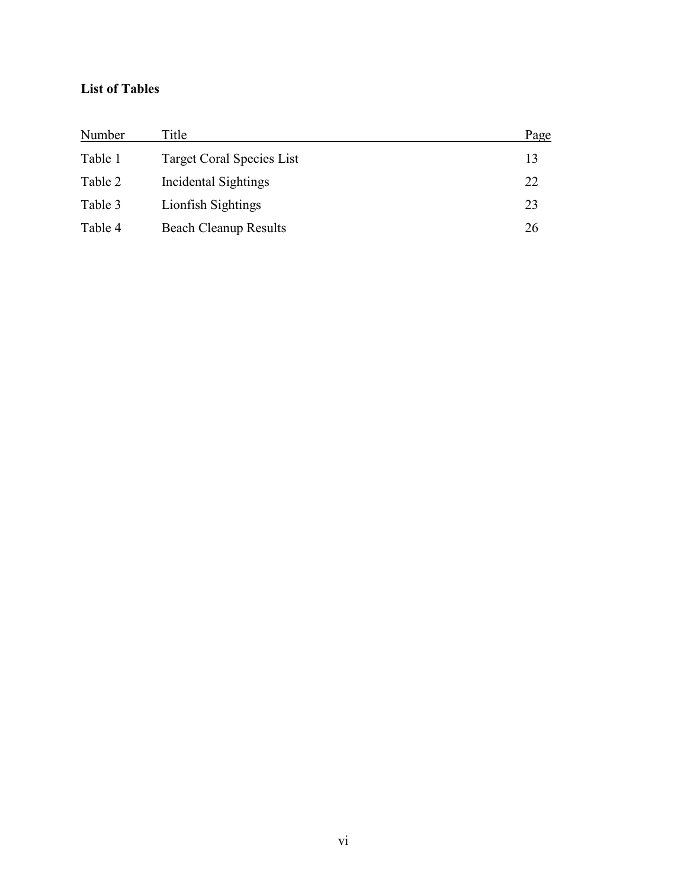## **List of Tables**

| Number  | Title                        | Page |
|---------|------------------------------|------|
| Table 1 | Target Coral Species List    | 13   |
| Table 2 | Incidental Sightings         | 22   |
| Table 3 | Lionfish Sightings           | 23   |
| Table 4 | <b>Beach Cleanup Results</b> | 26   |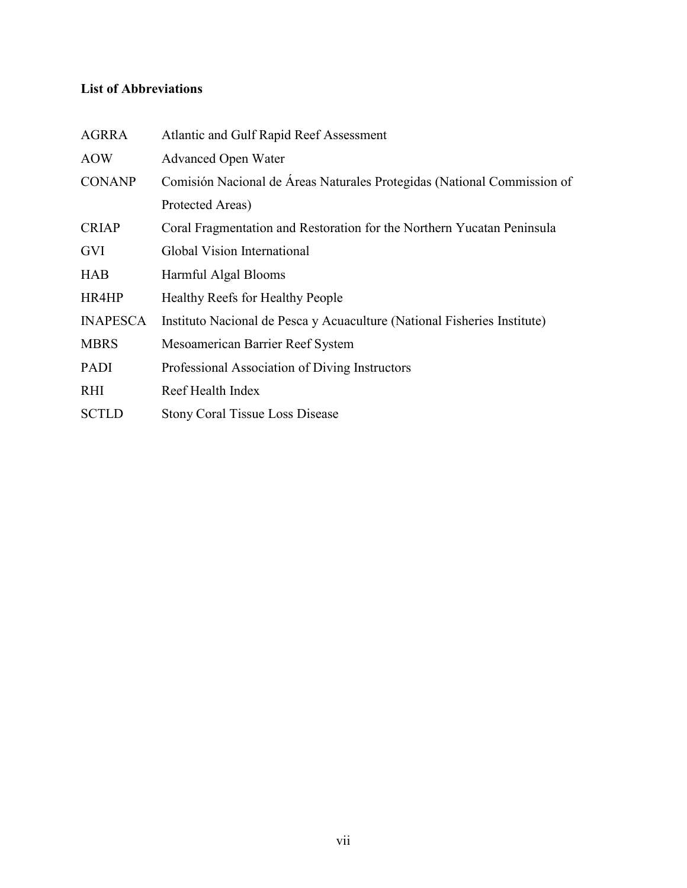# **List of Abbreviations**

| Atlantic and Gulf Rapid Reef Assessment                                  |
|--------------------------------------------------------------------------|
| <b>Advanced Open Water</b>                                               |
| Comisión Nacional de Áreas Naturales Protegidas (National Commission of  |
| Protected Areas)                                                         |
| Coral Fragmentation and Restoration for the Northern Yucatan Peninsula   |
| Global Vision International                                              |
| Harmful Algal Blooms                                                     |
| Healthy Reefs for Healthy People                                         |
| Instituto Nacional de Pesca y Acuaculture (National Fisheries Institute) |
| Mesoamerican Barrier Reef System                                         |
| Professional Association of Diving Instructors                           |
| Reef Health Index                                                        |
| <b>Stony Coral Tissue Loss Disease</b>                                   |
|                                                                          |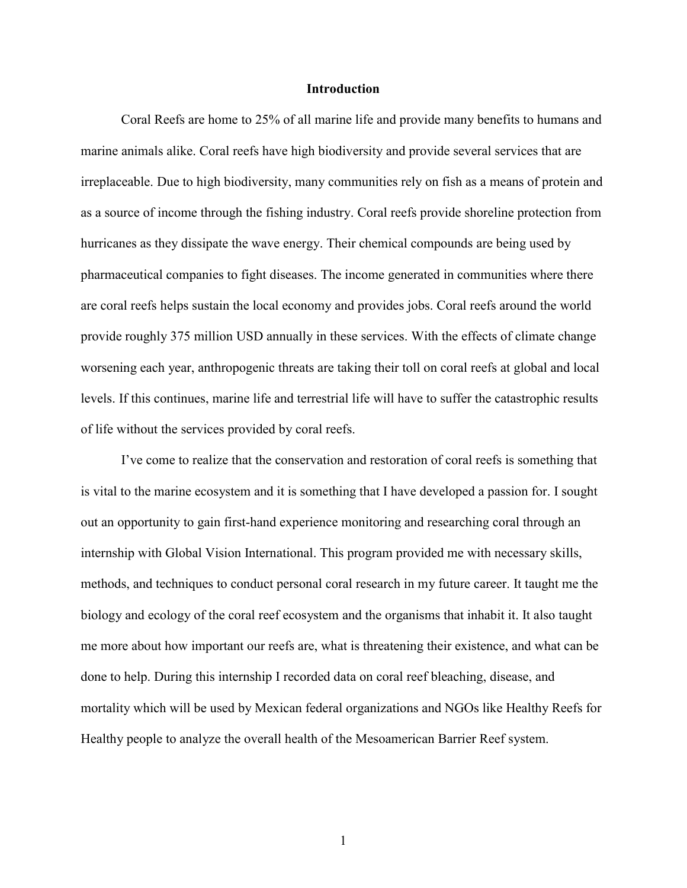#### **Introduction**

Coral Reefs are home to 25% of all marine life and provide many benefits to humans and marine animals alike. Coral reefs have high biodiversity and provide several services that are irreplaceable. Due to high biodiversity, many communities rely on fish as a means of protein and as a source of income through the fishing industry. Coral reefs provide shoreline protection from hurricanes as they dissipate the wave energy. Their chemical compounds are being used by pharmaceutical companies to fight diseases. The income generated in communities where there are coral reefs helps sustain the local economy and provides jobs. Coral reefs around the world provide roughly 375 million USD annually in these services. With the effects of climate change worsening each year, anthropogenic threats are taking their toll on coral reefs at global and local levels. If this continues, marine life and terrestrial life will have to suffer the catastrophic results of life without the services provided by coral reefs.

I've come to realize that the conservation and restoration of coral reefs is something that is vital to the marine ecosystem and it is something that I have developed a passion for. I sought out an opportunity to gain first-hand experience monitoring and researching coral through an internship with Global Vision International. This program provided me with necessary skills, methods, and techniques to conduct personal coral research in my future career. It taught me the biology and ecology of the coral reef ecosystem and the organisms that inhabit it. It also taught me more about how important our reefs are, what is threatening their existence, and what can be done to help. During this internship I recorded data on coral reef bleaching, disease, and mortality which will be used by Mexican federal organizations and NGOs like Healthy Reefs for Healthy people to analyze the overall health of the Mesoamerican Barrier Reef system.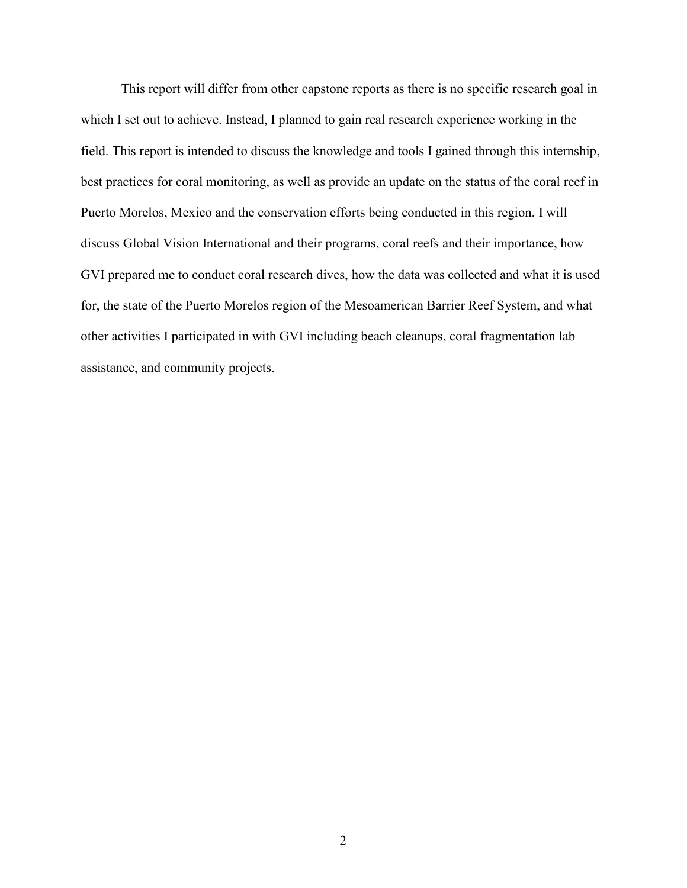This report will differ from other capstone reports as there is no specific research goal in which I set out to achieve. Instead, I planned to gain real research experience working in the field. This report is intended to discuss the knowledge and tools I gained through this internship, best practices for coral monitoring, as well as provide an update on the status of the coral reef in Puerto Morelos, Mexico and the conservation efforts being conducted in this region. I will discuss Global Vision International and their programs, coral reefs and their importance, how GVI prepared me to conduct coral research dives, how the data was collected and what it is used for, the state of the Puerto Morelos region of the Mesoamerican Barrier Reef System, and what other activities I participated in with GVI including beach cleanups, coral fragmentation lab assistance, and community projects.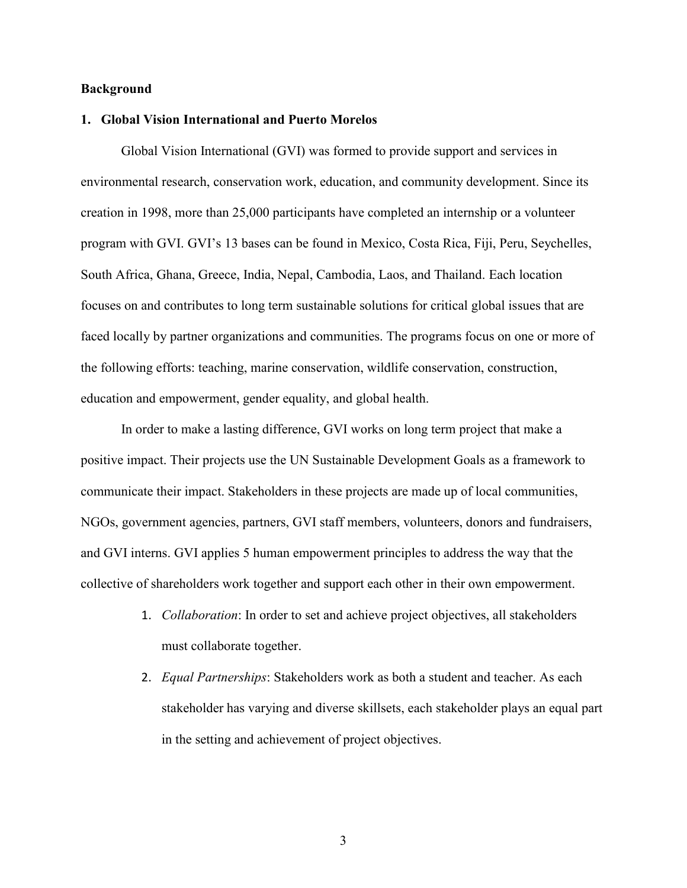### **Background**

### **1. Global Vision International and Puerto Morelos**

Global Vision International (GVI) was formed to provide support and services in environmental research, conservation work, education, and community development. Since its creation in 1998, more than 25,000 participants have completed an internship or a volunteer program with GVI. GVI's 13 bases can be found in Mexico, Costa Rica, Fiji, Peru, Seychelles, South Africa, Ghana, Greece, India, Nepal, Cambodia, Laos, and Thailand. Each location focuses on and contributes to long term sustainable solutions for critical global issues that are faced locally by partner organizations and communities. The programs focus on one or more of the following efforts: teaching, marine conservation, wildlife conservation, construction, education and empowerment, gender equality, and global health.

In order to make a lasting difference, GVI works on long term project that make a positive impact. Their projects use the UN Sustainable Development Goals as a framework to communicate their impact. Stakeholders in these projects are made up of local communities, NGOs, government agencies, partners, GVI staff members, volunteers, donors and fundraisers, and GVI interns. GVI applies 5 human empowerment principles to address the way that the collective of shareholders work together and support each other in their own empowerment.

- 1. *Collaboration*: In order to set and achieve project objectives, all stakeholders must collaborate together.
- 2. *Equal Partnerships*: Stakeholders work as both a student and teacher. As each stakeholder has varying and diverse skillsets, each stakeholder plays an equal part in the setting and achievement of project objectives.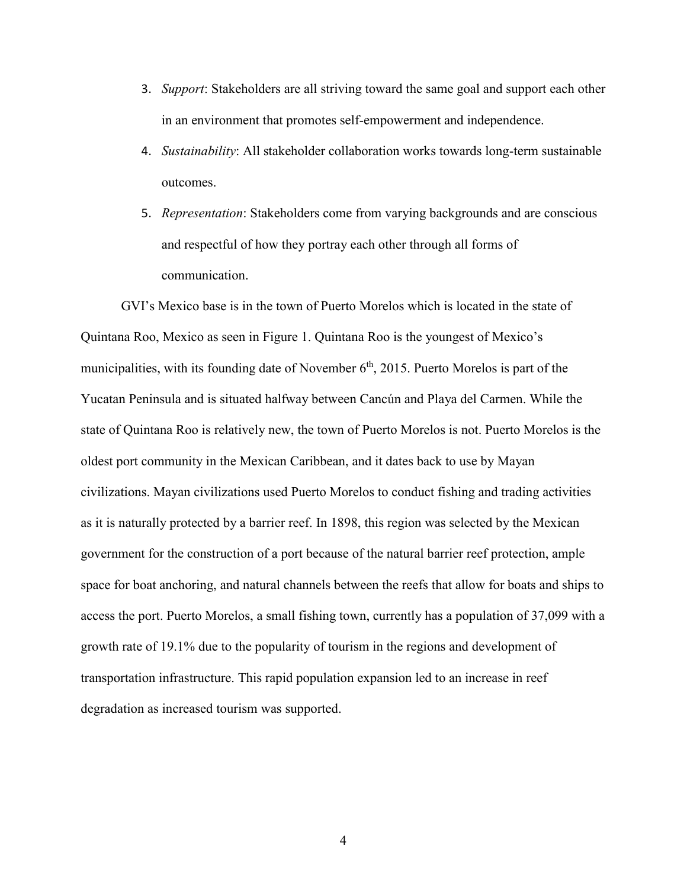- 3. *Support*: Stakeholders are all striving toward the same goal and support each other in an environment that promotes self-empowerment and independence.
- 4. *Sustainability*: All stakeholder collaboration works towards long-term sustainable outcomes.
- 5. *Representation*: Stakeholders come from varying backgrounds and are conscious and respectful of how they portray each other through all forms of communication.

GVI's Mexico base is in the town of Puerto Morelos which is located in the state of Quintana Roo, Mexico as seen in Figure 1. Quintana Roo is the youngest of Mexico's municipalities, with its founding date of November  $6<sup>th</sup>$ , 2015. Puerto Morelos is part of the Yucatan Peninsula and is situated halfway between Cancún and Playa del Carmen. While the state of Quintana Roo is relatively new, the town of Puerto Morelos is not. Puerto Morelos is the oldest port community in the Mexican Caribbean, and it dates back to use by Mayan civilizations. Mayan civilizations used Puerto Morelos to conduct fishing and trading activities as it is naturally protected by a barrier reef. In 1898, this region was selected by the Mexican government for the construction of a port because of the natural barrier reef protection, ample space for boat anchoring, and natural channels between the reefs that allow for boats and ships to access the port. Puerto Morelos, a small fishing town, currently has a population of 37,099 with a growth rate of 19.1% due to the popularity of tourism in the regions and development of transportation infrastructure. This rapid population expansion led to an increase in reef degradation as increased tourism was supported.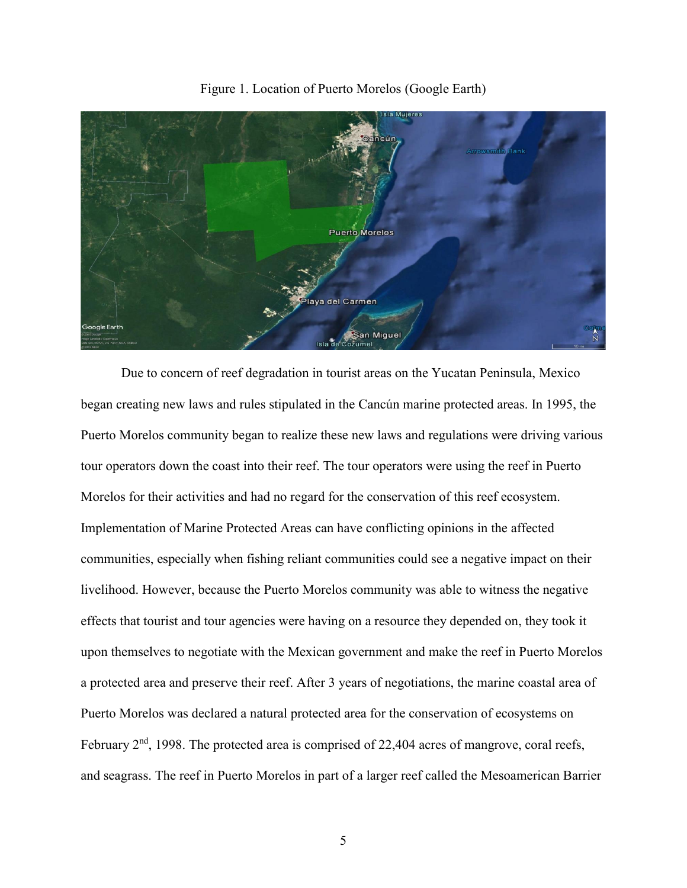

Figure 1. Location of Puerto Morelos (Google Earth)

Due to concern of reef degradation in tourist areas on the Yucatan Peninsula, Mexico began creating new laws and rules stipulated in the Cancún marine protected areas. In 1995, the Puerto Morelos community began to realize these new laws and regulations were driving various tour operators down the coast into their reef. The tour operators were using the reef in Puerto Morelos for their activities and had no regard for the conservation of this reef ecosystem. Implementation of Marine Protected Areas can have conflicting opinions in the affected communities, especially when fishing reliant communities could see a negative impact on their livelihood. However, because the Puerto Morelos community was able to witness the negative effects that tourist and tour agencies were having on a resource they depended on, they took it upon themselves to negotiate with the Mexican government and make the reef in Puerto Morelos a protected area and preserve their reef. After 3 years of negotiations, the marine coastal area of Puerto Morelos was declared a natural protected area for the conservation of ecosystems on February 2<sup>nd</sup>, 1998. The protected area is comprised of 22,404 acres of mangrove, coral reefs, and seagrass. The reef in Puerto Morelos in part of a larger reef called the Mesoamerican Barrier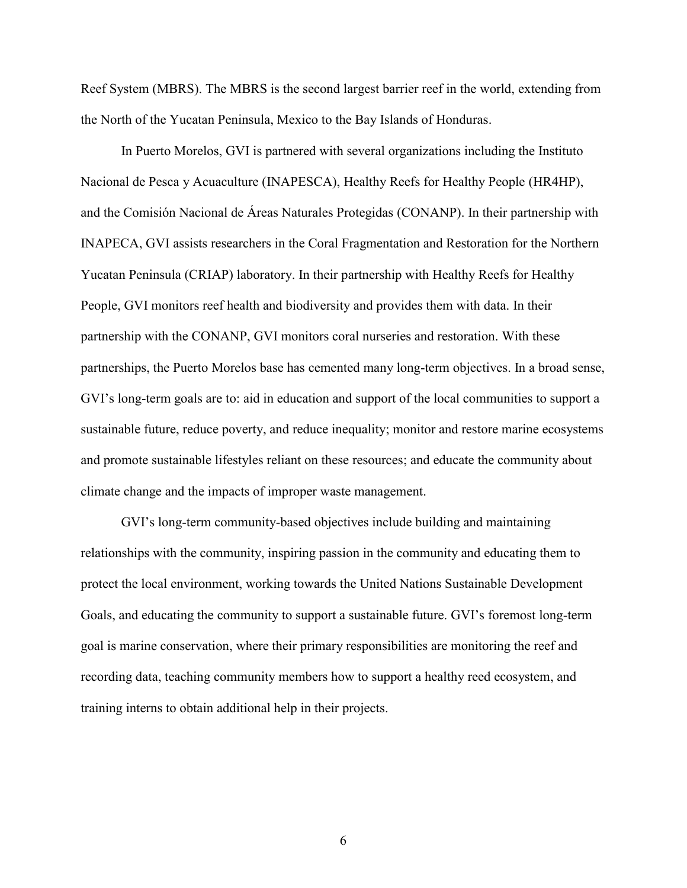Reef System (MBRS). The MBRS is the second largest barrier reef in the world, extending from the North of the Yucatan Peninsula, Mexico to the Bay Islands of Honduras.

In Puerto Morelos, GVI is partnered with several organizations including the Instituto Nacional de Pesca y Acuaculture (INAPESCA), Healthy Reefs for Healthy People (HR4HP), and the Comisión Nacional de Áreas Naturales Protegidas (CONANP). In their partnership with INAPECA, GVI assists researchers in the Coral Fragmentation and Restoration for the Northern Yucatan Peninsula (CRIAP) laboratory. In their partnership with Healthy Reefs for Healthy People, GVI monitors reef health and biodiversity and provides them with data. In their partnership with the CONANP, GVI monitors coral nurseries and restoration. With these partnerships, the Puerto Morelos base has cemented many long-term objectives. In a broad sense, GVI's long-term goals are to: aid in education and support of the local communities to support a sustainable future, reduce poverty, and reduce inequality; monitor and restore marine ecosystems and promote sustainable lifestyles reliant on these resources; and educate the community about climate change and the impacts of improper waste management.

GVI's long-term community-based objectives include building and maintaining relationships with the community, inspiring passion in the community and educating them to protect the local environment, working towards the United Nations Sustainable Development Goals, and educating the community to support a sustainable future. GVI's foremost long-term goal is marine conservation, where their primary responsibilities are monitoring the reef and recording data, teaching community members how to support a healthy reed ecosystem, and training interns to obtain additional help in their projects.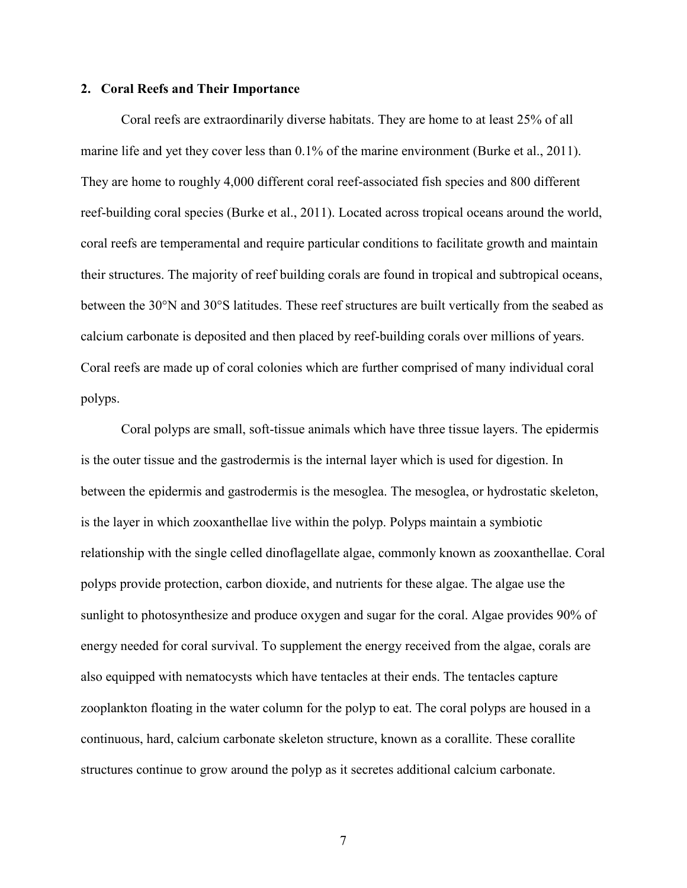#### **2. Coral Reefs and Their Importance**

Coral reefs are extraordinarily diverse habitats. They are home to at least 25% of all marine life and yet they cover less than  $0.1\%$  of the marine environment (Burke et al., 2011). They are home to roughly 4,000 different coral reef-associated fish species and 800 different reef-building coral species (Burke et al., 2011). Located across tropical oceans around the world, coral reefs are temperamental and require particular conditions to facilitate growth and maintain their structures. The majority of reef building corals are found in tropical and subtropical oceans, between the 30°N and 30°S latitudes. These reef structures are built vertically from the seabed as calcium carbonate is deposited and then placed by reef-building corals over millions of years. Coral reefs are made up of coral colonies which are further comprised of many individual coral polyps.

Coral polyps are small, soft-tissue animals which have three tissue layers. The epidermis is the outer tissue and the gastrodermis is the internal layer which is used for digestion. In between the epidermis and gastrodermis is the mesoglea. The mesoglea, or hydrostatic skeleton, is the layer in which zooxanthellae live within the polyp. Polyps maintain a symbiotic relationship with the single celled dinoflagellate algae, commonly known as zooxanthellae. Coral polyps provide protection, carbon dioxide, and nutrients for these algae. The algae use the sunlight to photosynthesize and produce oxygen and sugar for the coral. Algae provides 90% of energy needed for coral survival. To supplement the energy received from the algae, corals are also equipped with nematocysts which have tentacles at their ends. The tentacles capture zooplankton floating in the water column for the polyp to eat. The coral polyps are housed in a continuous, hard, calcium carbonate skeleton structure, known as a corallite. These corallite structures continue to grow around the polyp as it secretes additional calcium carbonate.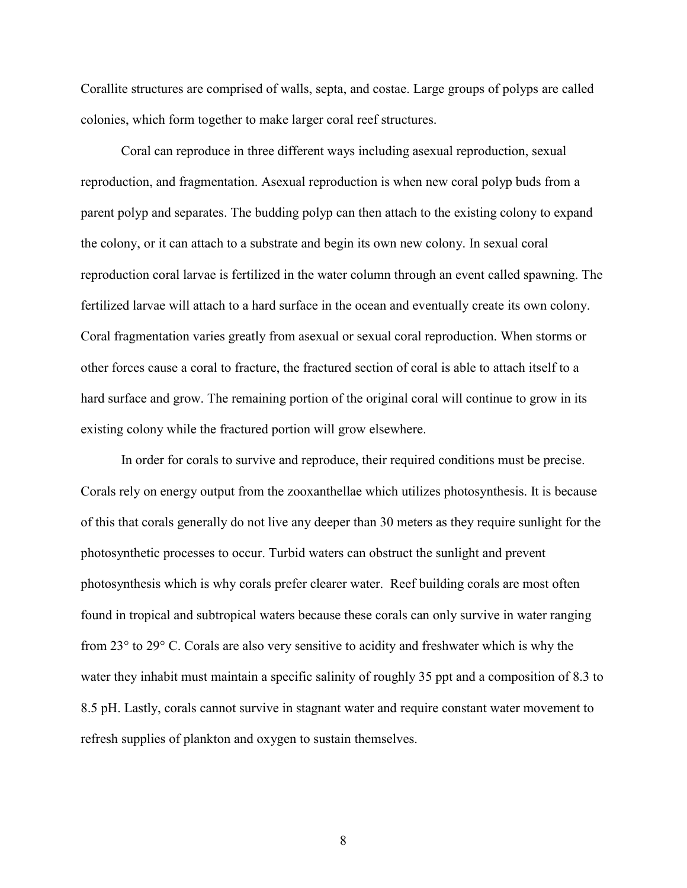Corallite structures are comprised of walls, septa, and costae. Large groups of polyps are called colonies, which form together to make larger coral reef structures.

Coral can reproduce in three different ways including asexual reproduction, sexual reproduction, and fragmentation. Asexual reproduction is when new coral polyp buds from a parent polyp and separates. The budding polyp can then attach to the existing colony to expand the colony, or it can attach to a substrate and begin its own new colony. In sexual coral reproduction coral larvae is fertilized in the water column through an event called spawning. The fertilized larvae will attach to a hard surface in the ocean and eventually create its own colony. Coral fragmentation varies greatly from asexual or sexual coral reproduction. When storms or other forces cause a coral to fracture, the fractured section of coral is able to attach itself to a hard surface and grow. The remaining portion of the original coral will continue to grow in its existing colony while the fractured portion will grow elsewhere.

In order for corals to survive and reproduce, their required conditions must be precise. Corals rely on energy output from the zooxanthellae which utilizes photosynthesis. It is because of this that corals generally do not live any deeper than 30 meters as they require sunlight for the photosynthetic processes to occur. Turbid waters can obstruct the sunlight and prevent photosynthesis which is why corals prefer clearer water. Reef building corals are most often found in tropical and subtropical waters because these corals can only survive in water ranging from 23° to 29° C. Corals are also very sensitive to acidity and freshwater which is why the water they inhabit must maintain a specific salinity of roughly 35 ppt and a composition of 8.3 to 8.5 pH. Lastly, corals cannot survive in stagnant water and require constant water movement to refresh supplies of plankton and oxygen to sustain themselves.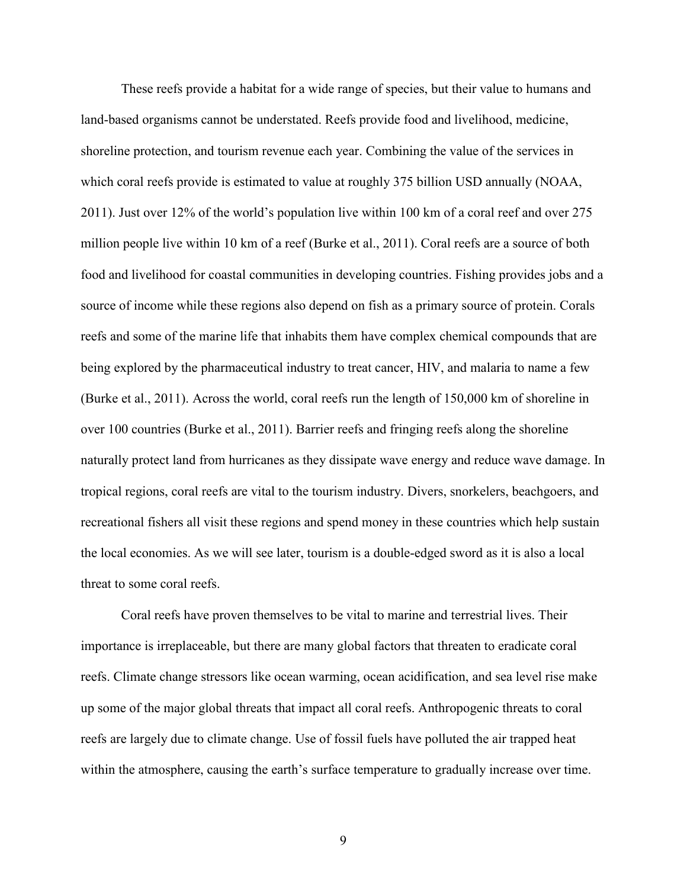These reefs provide a habitat for a wide range of species, but their value to humans and land-based organisms cannot be understated. Reefs provide food and livelihood, medicine, shoreline protection, and tourism revenue each year. Combining the value of the services in which coral reefs provide is estimated to value at roughly 375 billion USD annually (NOAA, 2011). Just over 12% of the world's population live within 100 km of a coral reef and over 275 million people live within 10 km of a reef (Burke et al., 2011). Coral reefs are a source of both food and livelihood for coastal communities in developing countries. Fishing provides jobs and a source of income while these regions also depend on fish as a primary source of protein. Corals reefs and some of the marine life that inhabits them have complex chemical compounds that are being explored by the pharmaceutical industry to treat cancer, HIV, and malaria to name a few (Burke et al., 2011). Across the world, coral reefs run the length of 150,000 km of shoreline in over 100 countries (Burke et al., 2011). Barrier reefs and fringing reefs along the shoreline naturally protect land from hurricanes as they dissipate wave energy and reduce wave damage. In tropical regions, coral reefs are vital to the tourism industry. Divers, snorkelers, beachgoers, and recreational fishers all visit these regions and spend money in these countries which help sustain the local economies. As we will see later, tourism is a double-edged sword as it is also a local threat to some coral reefs.

Coral reefs have proven themselves to be vital to marine and terrestrial lives. Their importance is irreplaceable, but there are many global factors that threaten to eradicate coral reefs. Climate change stressors like ocean warming, ocean acidification, and sea level rise make up some of the major global threats that impact all coral reefs. Anthropogenic threats to coral reefs are largely due to climate change. Use of fossil fuels have polluted the air trapped heat within the atmosphere, causing the earth's surface temperature to gradually increase over time.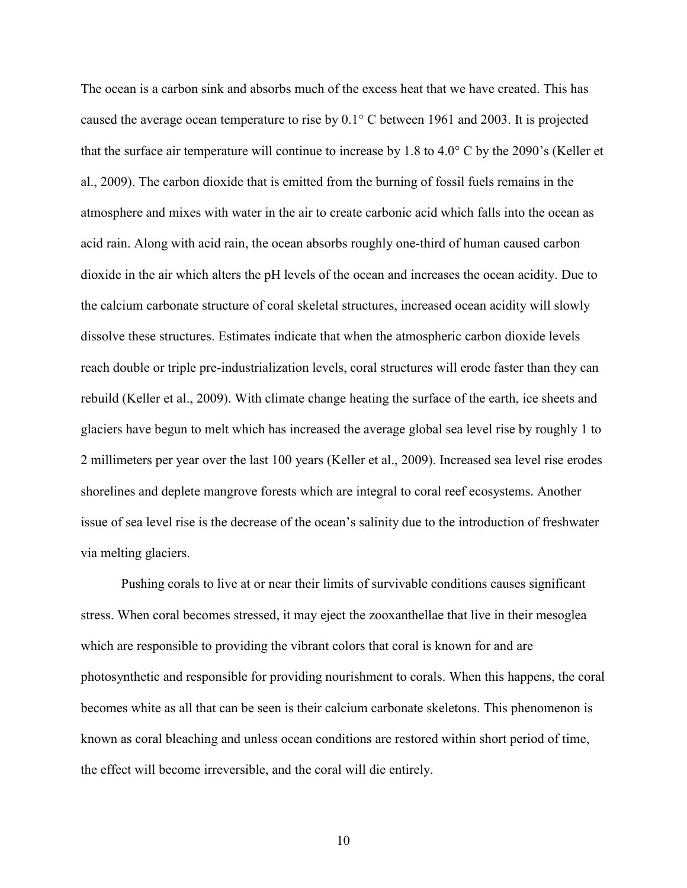The ocean is a carbon sink and absorbs much of the excess heat that we have created. This has caused the average ocean temperature to rise by 0.1° C between 1961 and 2003. It is projected that the surface air temperature will continue to increase by 1.8 to 4.0° C by the 2090's (Keller et al., 2009). The carbon dioxide that is emitted from the burning of fossil fuels remains in the atmosphere and mixes with water in the air to create carbonic acid which falls into the ocean as acid rain. Along with acid rain, the ocean absorbs roughly one-third of human caused carbon dioxide in the air which alters the pH levels of the ocean and increases the ocean acidity. Due to the calcium carbonate structure of coral skeletal structures, increased ocean acidity will slowly dissolve these structures. Estimates indicate that when the atmospheric carbon dioxide levels reach double or triple pre-industrialization levels, coral structures will erode faster than they can rebuild (Keller et al., 2009). With climate change heating the surface of the earth, ice sheets and glaciers have begun to melt which has increased the average global sea level rise by roughly 1 to 2 millimeters per year over the last 100 years (Keller et al., 2009). Increased sea level rise erodes shorelines and deplete mangrove forests which are integral to coral reef ecosystems. Another issue of sea level rise is the decrease of the ocean's salinity due to the introduction of freshwater via melting glaciers.

Pushing corals to live at or near their limits of survivable conditions causes significant stress. When coral becomes stressed, it may eject the zooxanthellae that live in their mesoglea which are responsible to providing the vibrant colors that coral is known for and are photosynthetic and responsible for providing nourishment to corals. When this happens, the coral becomes white as all that can be seen is their calcium carbonate skeletons. This phenomenon is known as coral bleaching and unless ocean conditions are restored within short period of time, the effect will become irreversible, and the coral will die entirely.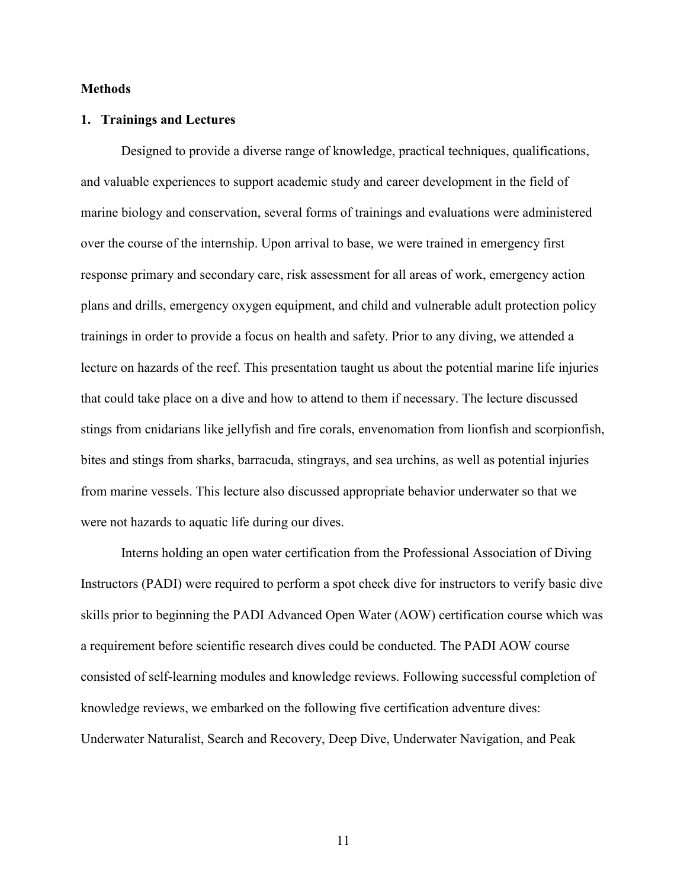### **Methods**

### **1. Trainings and Lectures**

Designed to provide a diverse range of knowledge, practical techniques, qualifications, and valuable experiences to support academic study and career development in the field of marine biology and conservation, several forms of trainings and evaluations were administered over the course of the internship. Upon arrival to base, we were trained in emergency first response primary and secondary care, risk assessment for all areas of work, emergency action plans and drills, emergency oxygen equipment, and child and vulnerable adult protection policy trainings in order to provide a focus on health and safety. Prior to any diving, we attended a lecture on hazards of the reef. This presentation taught us about the potential marine life injuries that could take place on a dive and how to attend to them if necessary. The lecture discussed stings from cnidarians like jellyfish and fire corals, envenomation from lionfish and scorpionfish, bites and stings from sharks, barracuda, stingrays, and sea urchins, as well as potential injuries from marine vessels. This lecture also discussed appropriate behavior underwater so that we were not hazards to aquatic life during our dives.

Interns holding an open water certification from the Professional Association of Diving Instructors (PADI) were required to perform a spot check dive for instructors to verify basic dive skills prior to beginning the PADI Advanced Open Water (AOW) certification course which was a requirement before scientific research dives could be conducted. The PADI AOW course consisted of self-learning modules and knowledge reviews. Following successful completion of knowledge reviews, we embarked on the following five certification adventure dives: Underwater Naturalist, Search and Recovery, Deep Dive, Underwater Navigation, and Peak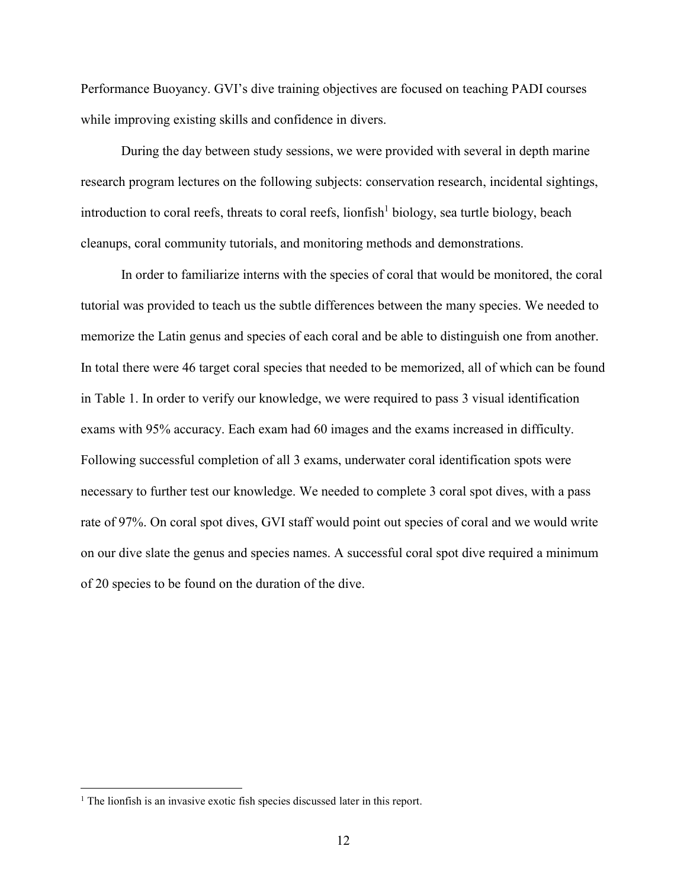Performance Buoyancy. GVI's dive training objectives are focused on teaching PADI courses while improving existing skills and confidence in divers.

During the day between study sessions, we were provided with several in depth marine research program lectures on the following subjects: conservation research, incidental sightings, introduction to coral reefs, threats to coral reefs, lionfish 1 biology, sea turtle biology, beach cleanups, coral community tutorials, and monitoring methods and demonstrations.

In order to familiarize interns with the species of coral that would be monitored, the coral tutorial was provided to teach us the subtle differences between the many species. We needed to memorize the Latin genus and species of each coral and be able to distinguish one from another. In total there were 46 target coral species that needed to be memorized, all of which can be found in Table 1. In order to verify our knowledge, we were required to pass 3 visual identification exams with 95% accuracy. Each exam had 60 images and the exams increased in difficulty. Following successful completion of all 3 exams, underwater coral identification spots were necessary to further test our knowledge. We needed to complete 3 coral spot dives, with a pass rate of 97%. On coral spot dives, GVI staff would point out species of coral and we would write on our dive slate the genus and species names. A successful coral spot dive required a minimum of 20 species to be found on the duration of the dive.

 $\overline{a}$ 

<sup>&</sup>lt;sup>1</sup> The lionfish is an invasive exotic fish species discussed later in this report.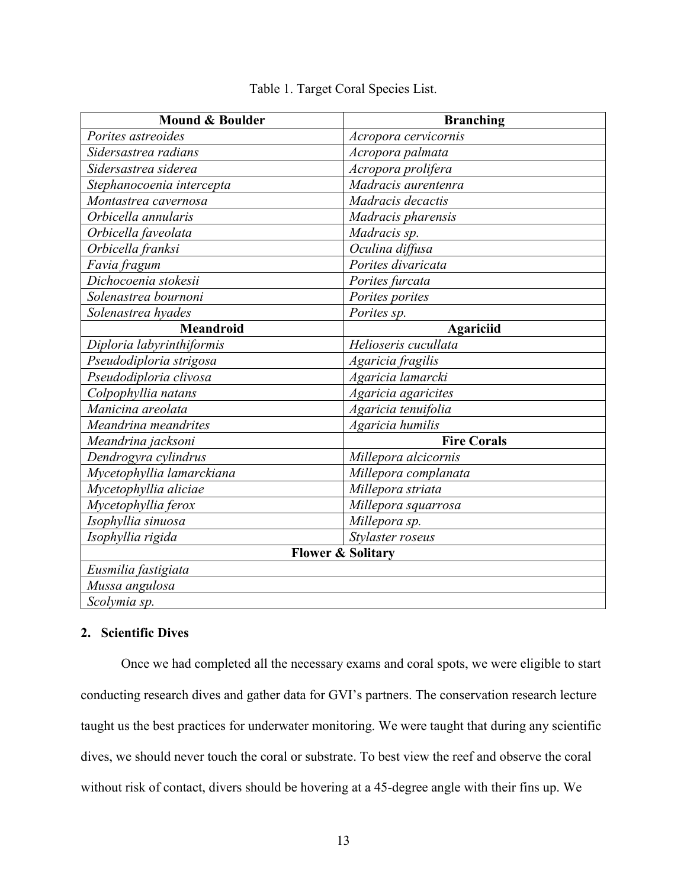| <b>Mound &amp; Boulder</b> | <b>Branching</b>             |
|----------------------------|------------------------------|
| Porites astreoides         | Acropora cervicornis         |
| Sidersastrea radians       | Acropora palmata             |
| Sidersastrea siderea       | Acropora prolifera           |
| Stephanocoenia intercepta  | Madracis aurentenra          |
| Montastrea cavernosa       | Madracis decactis            |
| Orbicella annularis        | Madracis pharensis           |
| Orbicella faveolata        | Madracis sp.                 |
| Orbicella franksi          | Oculina diffusa              |
| Favia fragum               | Porites divaricata           |
| Dichocoenia stokesii       | Porites furcata              |
| Solenastrea bournoni       | Porites porites              |
| Solenastrea hyades         | Porites sp.                  |
| Meandroid                  | Agariciid                    |
| Diploria labyrinthiformis  | Helioseris cucullata         |
| Pseudodiploria strigosa    | Agaricia fragilis            |
| Pseudodiploria clivosa     | Agaricia lamarcki            |
| Colpophyllia natans        | Agaricia agaricites          |
| Manicina areolata          | Agaricia tenuifolia          |
| Meandrina meandrites       | Agaricia humilis             |
| Meandrina jacksoni         | <b>Fire Corals</b>           |
| Dendrogyra cylindrus       | Millepora alcicornis         |
| Mycetophyllia lamarckiana  | Millepora complanata         |
| Mycetophyllia aliciae      | Millepora striata            |
| Mycetophyllia ferox        | Millepora squarrosa          |
| Isophyllia sinuosa         | Millepora sp.                |
| Isophyllia rigida          | Stylaster roseus             |
|                            | <b>Flower &amp; Solitary</b> |
| Eusmilia fastigiata        |                              |
| Mussa angulosa             |                              |
| Scolymia sp.               |                              |

### Table 1. Target Coral Species List.

### **2. Scientific Dives**

Once we had completed all the necessary exams and coral spots, we were eligible to start conducting research dives and gather data for GVI's partners. The conservation research lecture taught us the best practices for underwater monitoring. We were taught that during any scientific dives, we should never touch the coral or substrate. To best view the reef and observe the coral without risk of contact, divers should be hovering at a 45-degree angle with their fins up. We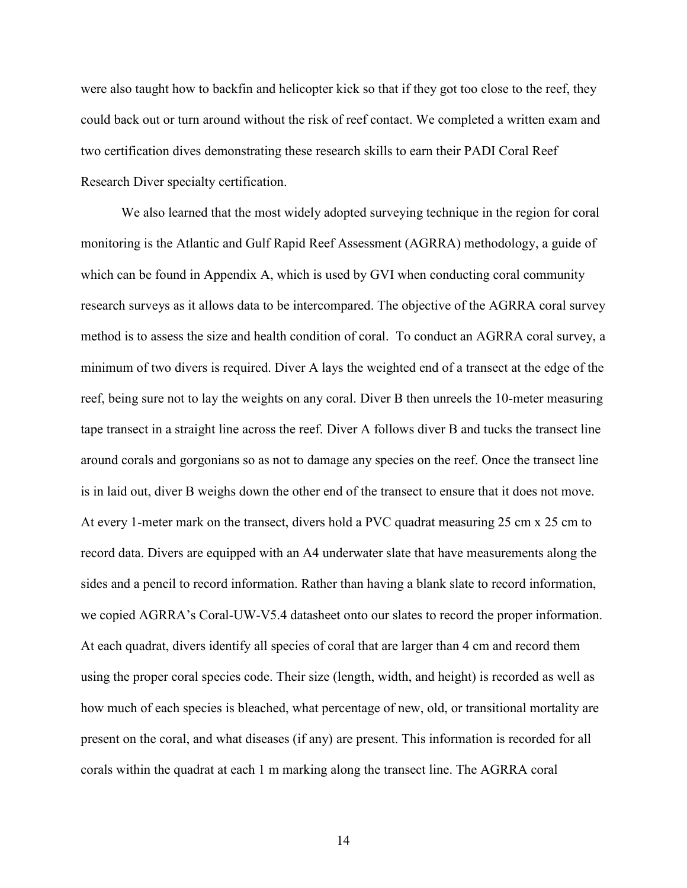were also taught how to backfin and helicopter kick so that if they got too close to the reef, they could back out or turn around without the risk of reef contact. We completed a written exam and two certification dives demonstrating these research skills to earn their PADI Coral Reef Research Diver specialty certification.

We also learned that the most widely adopted surveying technique in the region for coral monitoring is the Atlantic and Gulf Rapid Reef Assessment (AGRRA) methodology, a guide of which can be found in Appendix A, which is used by GVI when conducting coral community research surveys as it allows data to be intercompared. The objective of the AGRRA coral survey method is to assess the size and health condition of coral. To conduct an AGRRA coral survey, a minimum of two divers is required. Diver A lays the weighted end of a transect at the edge of the reef, being sure not to lay the weights on any coral. Diver B then unreels the 10-meter measuring tape transect in a straight line across the reef. Diver A follows diver B and tucks the transect line around corals and gorgonians so as not to damage any species on the reef. Once the transect line is in laid out, diver B weighs down the other end of the transect to ensure that it does not move. At every 1-meter mark on the transect, divers hold a PVC quadrat measuring 25 cm x 25 cm to record data. Divers are equipped with an A4 underwater slate that have measurements along the sides and a pencil to record information. Rather than having a blank slate to record information, we copied AGRRA's Coral-UW-V5.4 datasheet onto our slates to record the proper information. At each quadrat, divers identify all species of coral that are larger than 4 cm and record them using the proper coral species code. Their size (length, width, and height) is recorded as well as how much of each species is bleached, what percentage of new, old, or transitional mortality are present on the coral, and what diseases (if any) are present. This information is recorded for all corals within the quadrat at each 1 m marking along the transect line. The AGRRA coral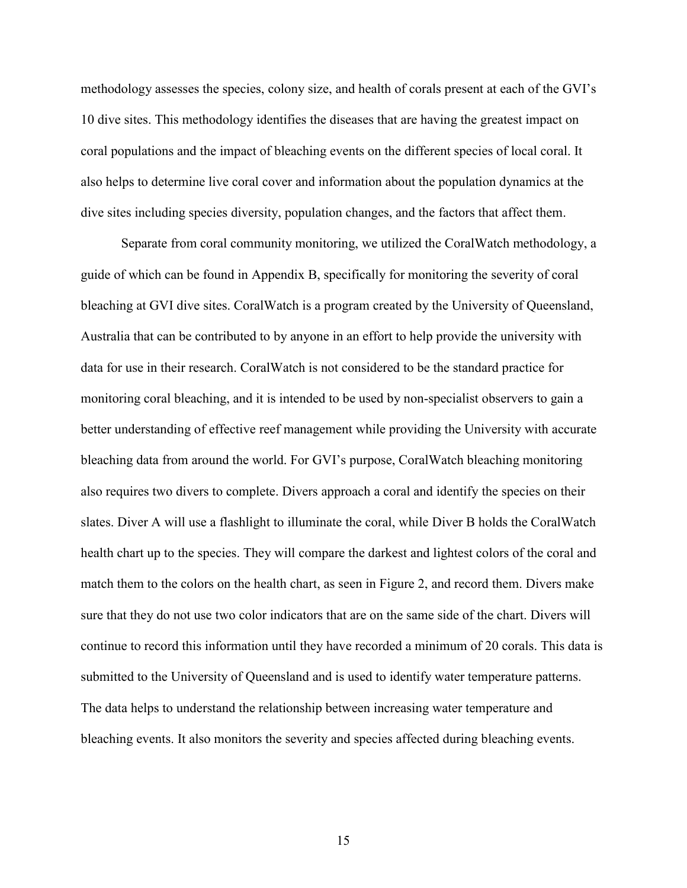methodology assesses the species, colony size, and health of corals present at each of the GVI's 10 dive sites. This methodology identifies the diseases that are having the greatest impact on coral populations and the impact of bleaching events on the different species of local coral. It also helps to determine live coral cover and information about the population dynamics at the dive sites including species diversity, population changes, and the factors that affect them.

Separate from coral community monitoring, we utilized the CoralWatch methodology, a guide of which can be found in Appendix B, specifically for monitoring the severity of coral bleaching at GVI dive sites. CoralWatch is a program created by the University of Queensland, Australia that can be contributed to by anyone in an effort to help provide the university with data for use in their research. CoralWatch is not considered to be the standard practice for monitoring coral bleaching, and it is intended to be used by non-specialist observers to gain a better understanding of effective reef management while providing the University with accurate bleaching data from around the world. For GVI's purpose, CoralWatch bleaching monitoring also requires two divers to complete. Divers approach a coral and identify the species on their slates. Diver A will use a flashlight to illuminate the coral, while Diver B holds the CoralWatch health chart up to the species. They will compare the darkest and lightest colors of the coral and match them to the colors on the health chart, as seen in Figure 2, and record them. Divers make sure that they do not use two color indicators that are on the same side of the chart. Divers will continue to record this information until they have recorded a minimum of 20 corals. This data is submitted to the University of Queensland and is used to identify water temperature patterns. The data helps to understand the relationship between increasing water temperature and bleaching events. It also monitors the severity and species affected during bleaching events.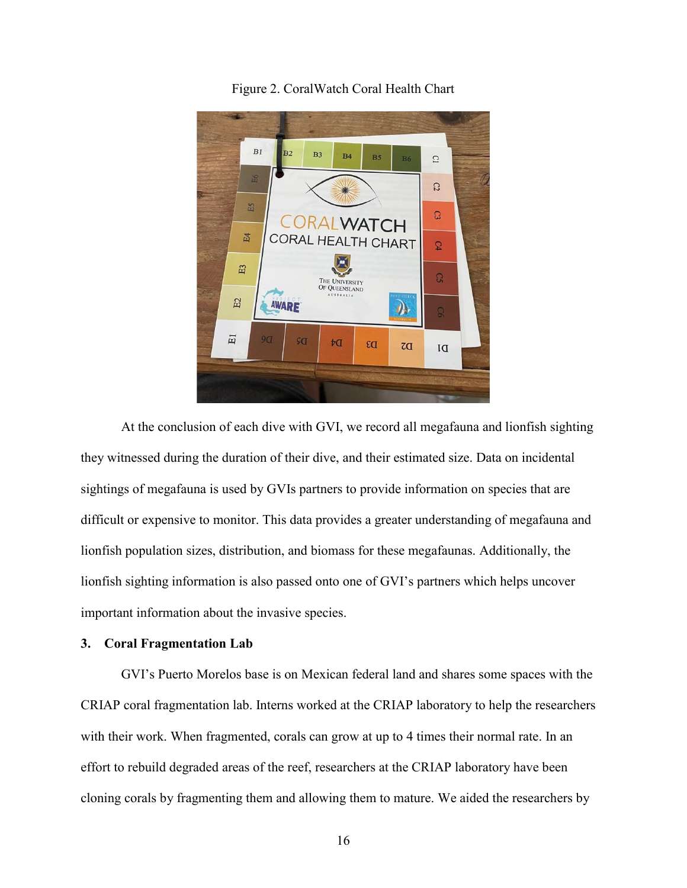

Figure 2. CoralWatch Coral Health Chart

At the conclusion of each dive with GVI, we record all megafauna and lionfish sighting they witnessed during the duration of their dive, and their estimated size. Data on incidental sightings of megafauna is used by GVIs partners to provide information on species that are difficult or expensive to monitor. This data provides a greater understanding of megafauna and lionfish population sizes, distribution, and biomass for these megafaunas. Additionally, the lionfish sighting information is also passed onto one of GVI's partners which helps uncover important information about the invasive species.

### **3. Coral Fragmentation Lab**

GVI's Puerto Morelos base is on Mexican federal land and shares some spaces with the CRIAP coral fragmentation lab. Interns worked at the CRIAP laboratory to help the researchers with their work. When fragmented, corals can grow at up to 4 times their normal rate. In an effort to rebuild degraded areas of the reef, researchers at the CRIAP laboratory have been cloning corals by fragmenting them and allowing them to mature. We aided the researchers by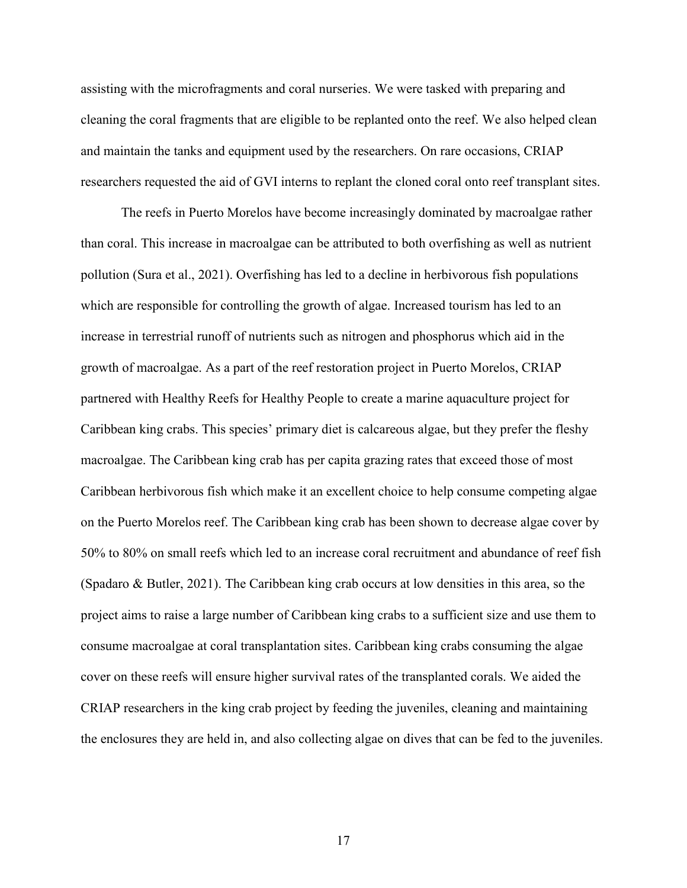assisting with the microfragments and coral nurseries. We were tasked with preparing and cleaning the coral fragments that are eligible to be replanted onto the reef. We also helped clean and maintain the tanks and equipment used by the researchers. On rare occasions, CRIAP researchers requested the aid of GVI interns to replant the cloned coral onto reef transplant sites.

The reefs in Puerto Morelos have become increasingly dominated by macroalgae rather than coral. This increase in macroalgae can be attributed to both overfishing as well as nutrient pollution (Sura et al., 2021). Overfishing has led to a decline in herbivorous fish populations which are responsible for controlling the growth of algae. Increased tourism has led to an increase in terrestrial runoff of nutrients such as nitrogen and phosphorus which aid in the growth of macroalgae. As a part of the reef restoration project in Puerto Morelos, CRIAP partnered with Healthy Reefs for Healthy People to create a marine aquaculture project for Caribbean king crabs. This species' primary diet is calcareous algae, but they prefer the fleshy macroalgae. The Caribbean king crab has per capita grazing rates that exceed those of most Caribbean herbivorous fish which make it an excellent choice to help consume competing algae on the Puerto Morelos reef. The Caribbean king crab has been shown to decrease algae cover by 50% to 80% on small reefs which led to an increase coral recruitment and abundance of reef fish (Spadaro & Butler, 2021). The Caribbean king crab occurs at low densities in this area, so the project aims to raise a large number of Caribbean king crabs to a sufficient size and use them to consume macroalgae at coral transplantation sites. Caribbean king crabs consuming the algae cover on these reefs will ensure higher survival rates of the transplanted corals. We aided the CRIAP researchers in the king crab project by feeding the juveniles, cleaning and maintaining the enclosures they are held in, and also collecting algae on dives that can be fed to the juveniles.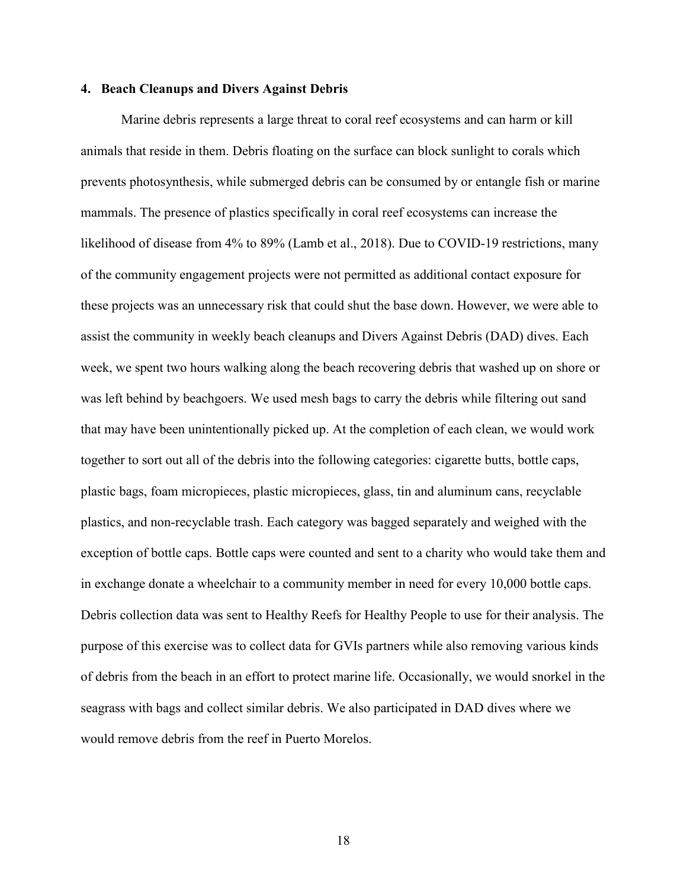#### **4. Beach Cleanups and Divers Against Debris**

Marine debris represents a large threat to coral reef ecosystems and can harm or kill animals that reside in them. Debris floating on the surface can block sunlight to corals which prevents photosynthesis, while submerged debris can be consumed by or entangle fish or marine mammals. The presence of plastics specifically in coral reef ecosystems can increase the likelihood of disease from 4% to 89% (Lamb et al., 2018). Due to COVID-19 restrictions, many of the community engagement projects were not permitted as additional contact exposure for these projects was an unnecessary risk that could shut the base down. However, we were able to assist the community in weekly beach cleanups and Divers Against Debris (DAD) dives. Each week, we spent two hours walking along the beach recovering debris that washed up on shore or was left behind by beachgoers. We used mesh bags to carry the debris while filtering out sand that may have been unintentionally picked up. At the completion of each clean, we would work together to sort out all of the debris into the following categories: cigarette butts, bottle caps, plastic bags, foam micropieces, plastic micropieces, glass, tin and aluminum cans, recyclable plastics, and non-recyclable trash. Each category was bagged separately and weighed with the exception of bottle caps. Bottle caps were counted and sent to a charity who would take them and in exchange donate a wheelchair to a community member in need for every 10,000 bottle caps. Debris collection data was sent to Healthy Reefs for Healthy People to use for their analysis. The purpose of this exercise was to collect data for GVIs partners while also removing various kinds of debris from the beach in an effort to protect marine life. Occasionally, we would snorkel in the seagrass with bags and collect similar debris. We also participated in DAD dives where we would remove debris from the reef in Puerto Morelos.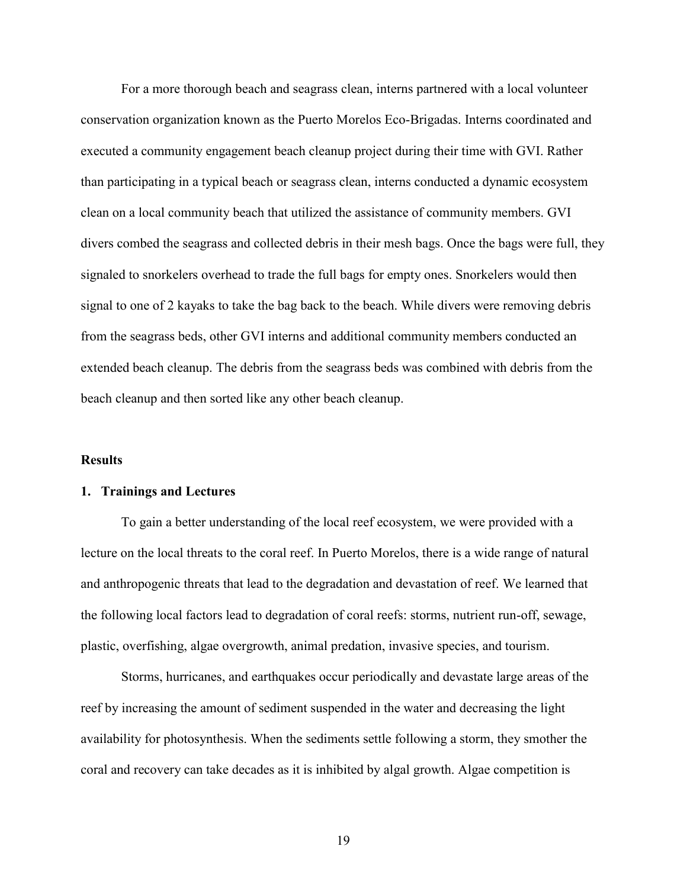For a more thorough beach and seagrass clean, interns partnered with a local volunteer conservation organization known as the Puerto Morelos Eco-Brigadas. Interns coordinated and executed a community engagement beach cleanup project during their time with GVI. Rather than participating in a typical beach or seagrass clean, interns conducted a dynamic ecosystem clean on a local community beach that utilized the assistance of community members. GVI divers combed the seagrass and collected debris in their mesh bags. Once the bags were full, they signaled to snorkelers overhead to trade the full bags for empty ones. Snorkelers would then signal to one of 2 kayaks to take the bag back to the beach. While divers were removing debris from the seagrass beds, other GVI interns and additional community members conducted an extended beach cleanup. The debris from the seagrass beds was combined with debris from the beach cleanup and then sorted like any other beach cleanup.

#### **Results**

#### **1. Trainings and Lectures**

To gain a better understanding of the local reef ecosystem, we were provided with a lecture on the local threats to the coral reef. In Puerto Morelos, there is a wide range of natural and anthropogenic threats that lead to the degradation and devastation of reef. We learned that the following local factors lead to degradation of coral reefs: storms, nutrient run-off, sewage, plastic, overfishing, algae overgrowth, animal predation, invasive species, and tourism.

Storms, hurricanes, and earthquakes occur periodically and devastate large areas of the reef by increasing the amount of sediment suspended in the water and decreasing the light availability for photosynthesis. When the sediments settle following a storm, they smother the coral and recovery can take decades as it is inhibited by algal growth. Algae competition is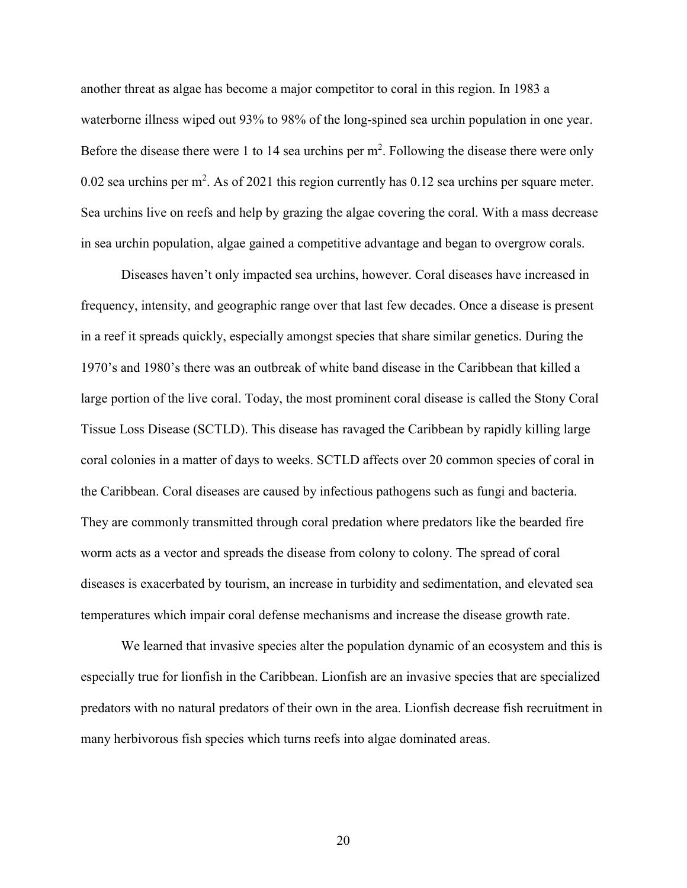another threat as algae has become a major competitor to coral in this region. In 1983 a waterborne illness wiped out 93% to 98% of the long-spined sea urchin population in one year. Before the disease there were 1 to 14 sea urchins per  $m^2$ . Following the disease there were only 0.02 sea urchins per m<sup>2</sup>. As of 2021 this region currently has 0.12 sea urchins per square meter. Sea urchins live on reefs and help by grazing the algae covering the coral. With a mass decrease in sea urchin population, algae gained a competitive advantage and began to overgrow corals.

Diseases haven't only impacted sea urchins, however. Coral diseases have increased in frequency, intensity, and geographic range over that last few decades. Once a disease is present in a reef it spreads quickly, especially amongst species that share similar genetics. During the 1970's and 1980's there was an outbreak of white band disease in the Caribbean that killed a large portion of the live coral. Today, the most prominent coral disease is called the Stony Coral Tissue Loss Disease (SCTLD). This disease has ravaged the Caribbean by rapidly killing large coral colonies in a matter of days to weeks. SCTLD affects over 20 common species of coral in the Caribbean. Coral diseases are caused by infectious pathogens such as fungi and bacteria. They are commonly transmitted through coral predation where predators like the bearded fire worm acts as a vector and spreads the disease from colony to colony. The spread of coral diseases is exacerbated by tourism, an increase in turbidity and sedimentation, and elevated sea temperatures which impair coral defense mechanisms and increase the disease growth rate.

We learned that invasive species alter the population dynamic of an ecosystem and this is especially true for lionfish in the Caribbean. Lionfish are an invasive species that are specialized predators with no natural predators of their own in the area. Lionfish decrease fish recruitment in many herbivorous fish species which turns reefs into algae dominated areas.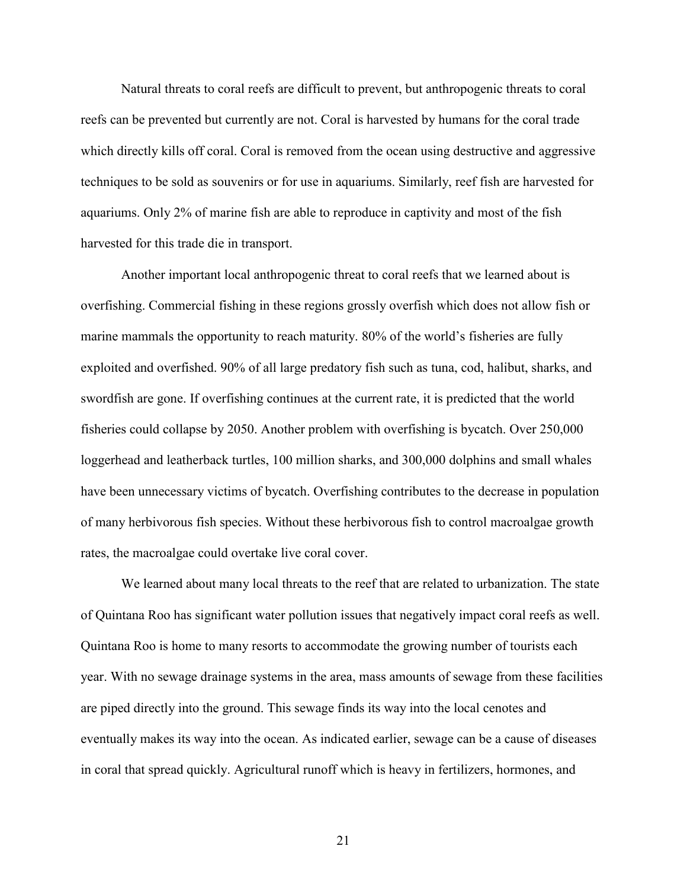Natural threats to coral reefs are difficult to prevent, but anthropogenic threats to coral reefs can be prevented but currently are not. Coral is harvested by humans for the coral trade which directly kills off coral. Coral is removed from the ocean using destructive and aggressive techniques to be sold as souvenirs or for use in aquariums. Similarly, reef fish are harvested for aquariums. Only 2% of marine fish are able to reproduce in captivity and most of the fish harvested for this trade die in transport.

Another important local anthropogenic threat to coral reefs that we learned about is overfishing. Commercial fishing in these regions grossly overfish which does not allow fish or marine mammals the opportunity to reach maturity. 80% of the world's fisheries are fully exploited and overfished. 90% of all large predatory fish such as tuna, cod, halibut, sharks, and swordfish are gone. If overfishing continues at the current rate, it is predicted that the world fisheries could collapse by 2050. Another problem with overfishing is bycatch. Over 250,000 loggerhead and leatherback turtles, 100 million sharks, and 300,000 dolphins and small whales have been unnecessary victims of bycatch. Overfishing contributes to the decrease in population of many herbivorous fish species. Without these herbivorous fish to control macroalgae growth rates, the macroalgae could overtake live coral cover.

We learned about many local threats to the reef that are related to urbanization. The state of Quintana Roo has significant water pollution issues that negatively impact coral reefs as well. Quintana Roo is home to many resorts to accommodate the growing number of tourists each year. With no sewage drainage systems in the area, mass amounts of sewage from these facilities are piped directly into the ground. This sewage finds its way into the local cenotes and eventually makes its way into the ocean. As indicated earlier, sewage can be a cause of diseases in coral that spread quickly. Agricultural runoff which is heavy in fertilizers, hormones, and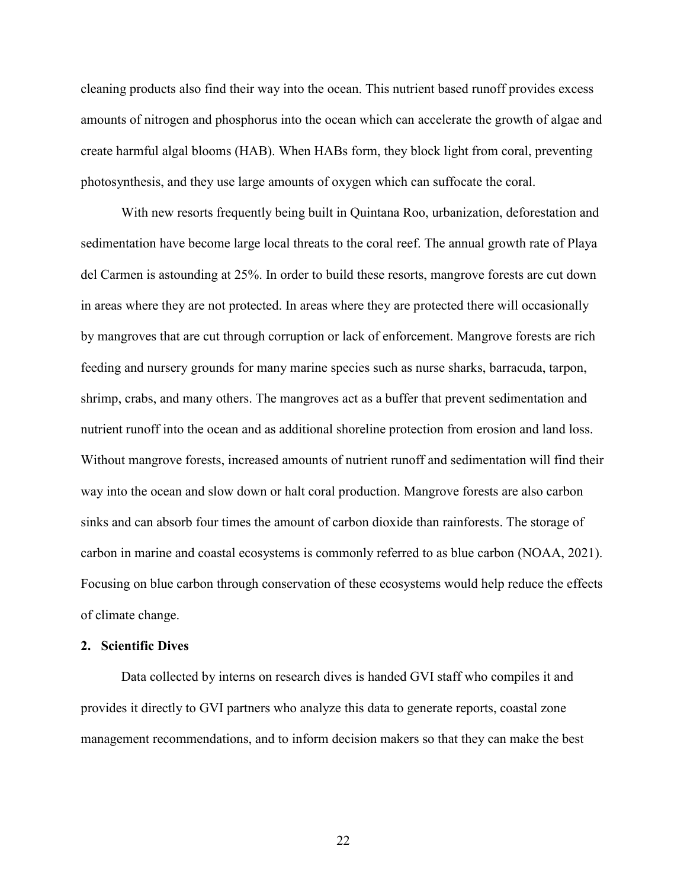cleaning products also find their way into the ocean. This nutrient based runoff provides excess amounts of nitrogen and phosphorus into the ocean which can accelerate the growth of algae and create harmful algal blooms (HAB). When HABs form, they block light from coral, preventing photosynthesis, and they use large amounts of oxygen which can suffocate the coral.

With new resorts frequently being built in Quintana Roo, urbanization, deforestation and sedimentation have become large local threats to the coral reef. The annual growth rate of Playa del Carmen is astounding at 25%. In order to build these resorts, mangrove forests are cut down in areas where they are not protected. In areas where they are protected there will occasionally by mangroves that are cut through corruption or lack of enforcement. Mangrove forests are rich feeding and nursery grounds for many marine species such as nurse sharks, barracuda, tarpon, shrimp, crabs, and many others. The mangroves act as a buffer that prevent sedimentation and nutrient runoff into the ocean and as additional shoreline protection from erosion and land loss. Without mangrove forests, increased amounts of nutrient runoff and sedimentation will find their way into the ocean and slow down or halt coral production. Mangrove forests are also carbon sinks and can absorb four times the amount of carbon dioxide than rainforests. The storage of carbon in marine and coastal ecosystems is commonly referred to as blue carbon (NOAA, 2021). Focusing on blue carbon through conservation of these ecosystems would help reduce the effects of climate change.

### **2. Scientific Dives**

Data collected by interns on research dives is handed GVI staff who compiles it and provides it directly to GVI partners who analyze this data to generate reports, coastal zone management recommendations, and to inform decision makers so that they can make the best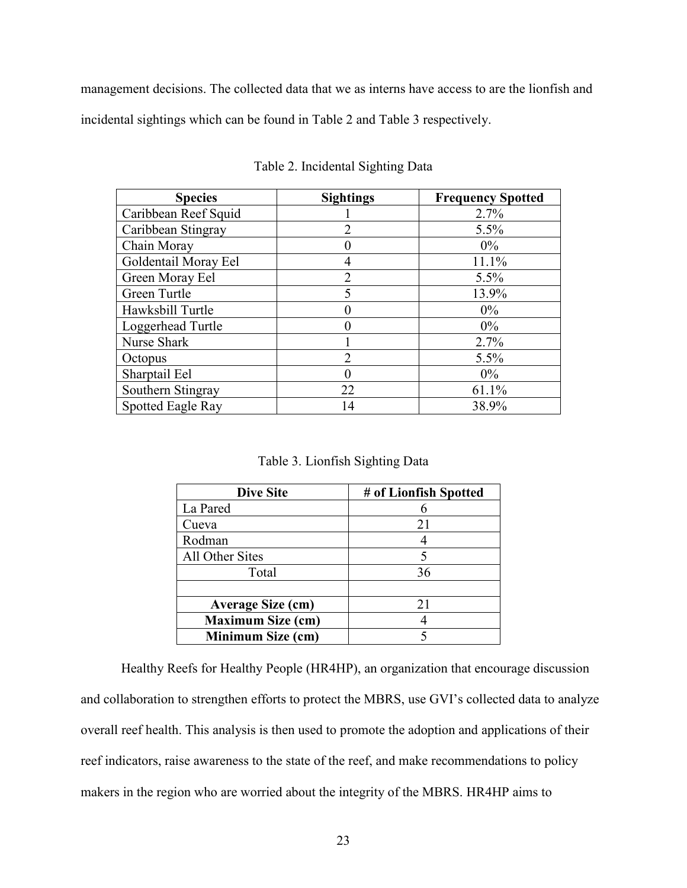management decisions. The collected data that we as interns have access to are the lionfish and incidental sightings which can be found in Table 2 and Table 3 respectively.

| <b>Species</b>       | <b>Sightings</b> | <b>Frequency Spotted</b> |
|----------------------|------------------|--------------------------|
| Caribbean Reef Squid |                  | 2.7%                     |
| Caribbean Stingray   | າ                | 5.5%                     |
| Chain Moray          |                  | $0\%$                    |
| Goldentail Moray Eel | 4                | 11.1%                    |
| Green Moray Eel      | C                | 5.5%                     |
| Green Turtle         | 5                | 13.9%                    |
| Hawksbill Turtle     |                  | $0\%$                    |
| Loggerhead Turtle    |                  | $0\%$                    |
| Nurse Shark          |                  | 2.7%                     |
| Octopus              | $\mathfrak{D}$   | 5.5%                     |
| Sharptail Eel        |                  | $0\%$                    |
| Southern Stingray    | 22               | 61.1%                    |
| Spotted Eagle Ray    | 14               | 38.9%                    |

Table 2. Incidental Sighting Data

|  | Table 3. Lionfish Sighting Data |  |  |
|--|---------------------------------|--|--|
|--|---------------------------------|--|--|

| <b>Dive Site</b>         | # of Lionfish Spotted |
|--------------------------|-----------------------|
| La Pared                 |                       |
| Cueva                    | 21                    |
| Rodman                   |                       |
| All Other Sites          |                       |
| Total                    | 36                    |
|                          |                       |
| <b>Average Size (cm)</b> | 21                    |
| <b>Maximum Size (cm)</b> |                       |
| Minimum Size (cm)        |                       |

Healthy Reefs for Healthy People (HR4HP), an organization that encourage discussion and collaboration to strengthen efforts to protect the MBRS, use GVI's collected data to analyze overall reef health. This analysis is then used to promote the adoption and applications of their reef indicators, raise awareness to the state of the reef, and make recommendations to policy makers in the region who are worried about the integrity of the MBRS. HR4HP aims to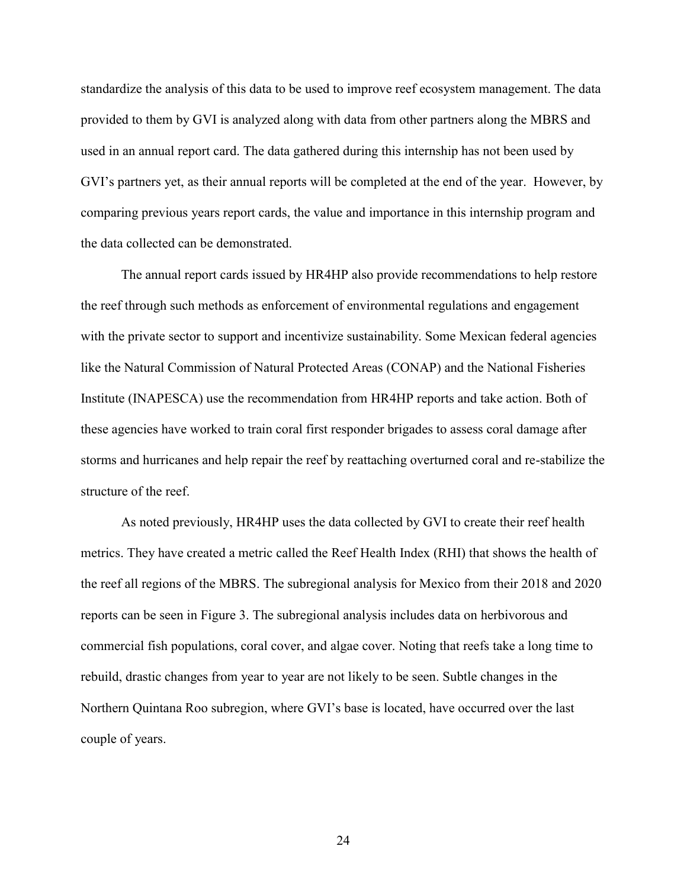standardize the analysis of this data to be used to improve reef ecosystem management. The data provided to them by GVI is analyzed along with data from other partners along the MBRS and used in an annual report card. The data gathered during this internship has not been used by GVI's partners yet, as their annual reports will be completed at the end of the year. However, by comparing previous years report cards, the value and importance in this internship program and the data collected can be demonstrated.

The annual report cards issued by HR4HP also provide recommendations to help restore the reef through such methods as enforcement of environmental regulations and engagement with the private sector to support and incentivize sustainability. Some Mexican federal agencies like the Natural Commission of Natural Protected Areas (CONAP) and the National Fisheries Institute (INAPESCA) use the recommendation from HR4HP reports and take action. Both of these agencies have worked to train coral first responder brigades to assess coral damage after storms and hurricanes and help repair the reef by reattaching overturned coral and re-stabilize the structure of the reef.

As noted previously, HR4HP uses the data collected by GVI to create their reef health metrics. They have created a metric called the Reef Health Index (RHI) that shows the health of the reef all regions of the MBRS. The subregional analysis for Mexico from their 2018 and 2020 reports can be seen in Figure 3. The subregional analysis includes data on herbivorous and commercial fish populations, coral cover, and algae cover. Noting that reefs take a long time to rebuild, drastic changes from year to year are not likely to be seen. Subtle changes in the Northern Quintana Roo subregion, where GVI's base is located, have occurred over the last couple of years.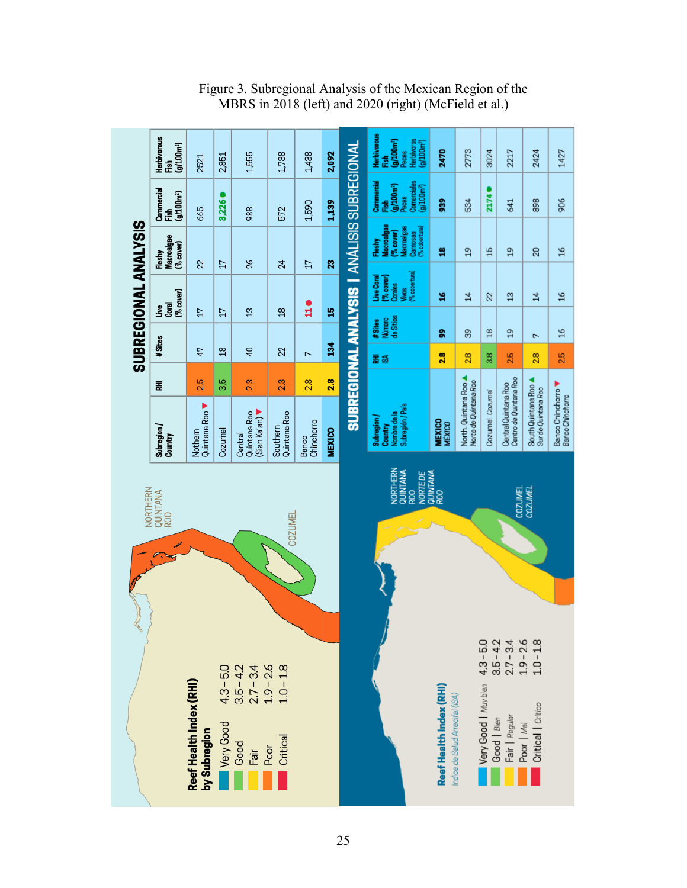|                                                                                                                                                                                                      | <b>Herbivorous</b><br>$(g/100m^{2})$<br>Fish | 2521                                    | 2,851                    | 1,555                                      | 1,738                                          | 1,438               | 2,092         |                                                    | Herbivorous<br>Herbívoros<br>(g/100m <sup>2</sup> )<br>(9/100m <sup>2</sup> )<br><b>Peces</b><br>á | 2470                                                       | 2773                                         | 3024                                               | 2217                                           | 2424                                         | 1427                                        |
|------------------------------------------------------------------------------------------------------------------------------------------------------------------------------------------------------|----------------------------------------------|-----------------------------------------|--------------------------|--------------------------------------------|------------------------------------------------|---------------------|---------------|----------------------------------------------------|----------------------------------------------------------------------------------------------------|------------------------------------------------------------|----------------------------------------------|----------------------------------------------------|------------------------------------------------|----------------------------------------------|---------------------------------------------|
|                                                                                                                                                                                                      | Commercial<br>$(g/100m^2)$<br>Fish           | 665                                     | 3,226                    | 988                                        | 572                                            | 1,590               | 1,139         |                                                    | Commercial<br>Comerciales<br>(g/100m <sup>2</sup> )<br>(g/100m <sup>2</sup> )<br>Peces<br>fish     | 88                                                         | 534                                          | 21740                                              | 641                                            | 898                                          | 906                                         |
|                                                                                                                                                                                                      | Macroalgae<br>(% cover)<br>Fleshy            |                                         |                          |                                            |                                                |                     |               |                                                    | Macroalgae<br>Macroalgas<br>Carnosas<br>(% cobertura)<br>(% cover)<br>Fleshy                       | g                                                          | $\mathfrak{D}$                               | $\frac{15}{2}$                                     | $\mathfrak{a}$                                 | 20                                           | $\frac{8}{16}$                              |
| SUBREGIONAL ANALYSIS                                                                                                                                                                                 | (% cover)                                    | 22                                      | 17                       | 26                                         | 24                                             | 17                  | 23            | <b>SUBREGIONAL ANALYSIS   ANÁLISIS SUBREGIONAL</b> | (% cobertura)<br>Live Coral<br>(% cover)<br>Corales<br>yiwas                                       | å                                                          | $\sharp$                                     | 22                                                 | $\mathfrak{a}$                                 | $\sharp$                                     | $\frac{8}{2}$                               |
|                                                                                                                                                                                                      | _<br>ខេត្ត<br>ខេ                             | 17                                      | 17                       | $\frac{3}{2}$                              | $\frac{8}{2}$                                  | ដូ                  | 윾             |                                                    | de Sitios<br>Número<br>#Sites                                                                      | e,                                                         | 89                                           | $\frac{8}{18}$                                     | $\frac{9}{1}$                                  | Z                                            | $\frac{8}{16}$                              |
|                                                                                                                                                                                                      | #Sites                                       | 47                                      | $\frac{8}{18}$           | $\overline{4}$                             | 22                                             | $\overline{ }$      | 34            |                                                    | 롩졺                                                                                                 | 2.8                                                        | 2.8                                          | $\frac{8}{3}$                                      | 2.5                                            | 28                                           | 2.5                                         |
|                                                                                                                                                                                                      | 돑                                            | 2.5                                     | 3.5                      | 23                                         | 2.3                                            | 2.8                 | 2.8           |                                                    |                                                                                                    |                                                            |                                              |                                                    |                                                |                                              |                                             |
|                                                                                                                                                                                                      | Subregion /<br>Country                       | Quintana Roo<br>Nothern                 | Cozumel                  | Sian Ka'an)<br>Quintana Roo<br>Central     | Quintana Roo<br>Southern                       | Chinchorro<br>Banco | <b>MEXICO</b> |                                                    | Subregión / País<br>Nombre de la<br>Subregion/<br>Country                                          | <b>MEXICO</b><br>MÉXICO                                    | North. Quintana Roo<br>Norte de Quintana Roo | Cozumel Cozumel                                    | Centro de Quintana Roo<br>Central Quintana Roo | South Quintana Roo.<br>Sur de Quintana Roo   | Banco Chinchorro<br><b>Banco Chinchorro</b> |
| NORTHERN<br>QUINTANA<br>ROO<br>NORTE DE<br>QUINTANA<br>ROO<br>COZUMEL<br>COZUMEL<br>NORTHERN<br>QUINTANA<br>ROO<br><b>COZUMEL</b><br>Ç<br>$3.5 - 4.2$<br>$2.7 - 3.4$<br>$1.9 - 2.6$<br>$\frac{8}{1}$ |                                              |                                         |                          |                                            |                                                |                     |               |                                                    |                                                                                                    |                                                            |                                              |                                                    |                                                |                                              |                                             |
|                                                                                                                                                                                                      |                                              | Reef Health Index (RHI)<br>by Subregion | $4.3 - 5.0$<br>Very Good | $3.5 - 4.2$<br>$2.7 - 3.4$<br>Good<br>Fair | $1.9 - 2.6$<br>$1.0 - 1.8$<br>Critical<br>Poor |                     |               |                                                    |                                                                                                    | Reef Health Index (RHI)<br>Índice de Salud Arrecifal (ISA) |                                              | $4.3 - 5.0$<br>Very Good   Muy bien<br>Good   Bien | Fair   Regular                                 | $1.0 - 7$<br>Critical   Crítico<br>Poor   Ma |                                             |

Figure 3. Subregional Analysis of the Mexican Region of the MBRS in 2018 (left) and 2020 (right) (McField et al.)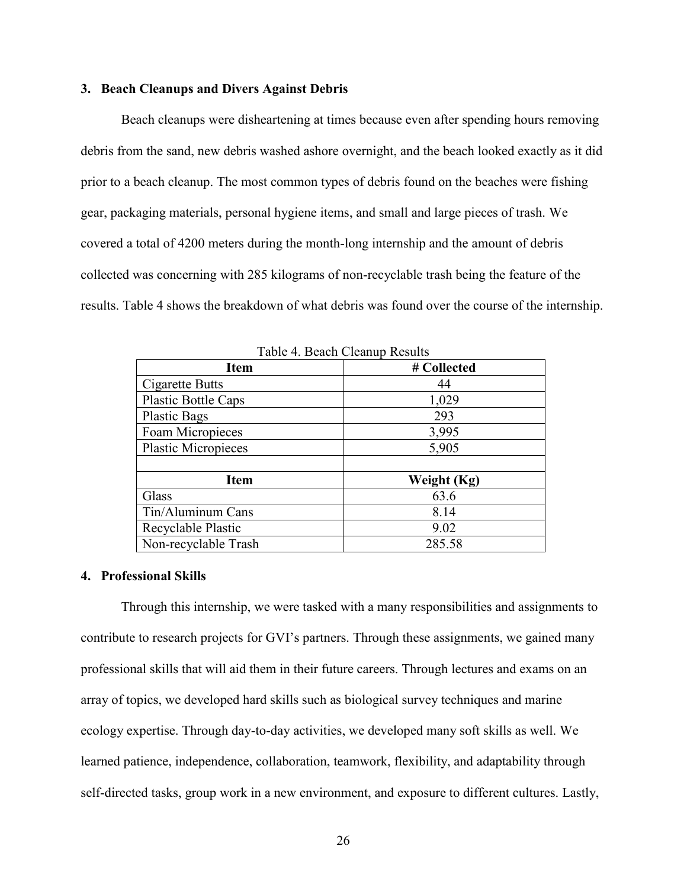### **3. Beach Cleanups and Divers Against Debris**

Beach cleanups were disheartening at times because even after spending hours removing debris from the sand, new debris washed ashore overnight, and the beach looked exactly as it did prior to a beach cleanup. The most common types of debris found on the beaches were fishing gear, packaging materials, personal hygiene items, and small and large pieces of trash. We covered a total of 4200 meters during the month-long internship and the amount of debris collected was concerning with 285 kilograms of non-recyclable trash being the feature of the results. Table 4 shows the breakdown of what debris was found over the course of the internship.

| Table 4. Deach Cleanup Results |             |  |  |  |  |
|--------------------------------|-------------|--|--|--|--|
| <b>Item</b>                    | # Collected |  |  |  |  |
| Cigarette Butts                | 44          |  |  |  |  |
| Plastic Bottle Caps            | 1,029       |  |  |  |  |
| <b>Plastic Bags</b>            | 293         |  |  |  |  |
| Foam Micropieces               | 3,995       |  |  |  |  |
| <b>Plastic Micropieces</b>     | 5,905       |  |  |  |  |
|                                |             |  |  |  |  |
| <b>Item</b>                    | Weight (Kg) |  |  |  |  |
| Glass                          | 63.6        |  |  |  |  |
| Tin/Aluminum Cans              | 8.14        |  |  |  |  |
| Recyclable Plastic             | 9.02        |  |  |  |  |
| Non-recyclable Trash           | 285.58      |  |  |  |  |

Table 4. Beach Cleanup Results

### **4. Professional Skills**

Through this internship, we were tasked with a many responsibilities and assignments to contribute to research projects for GVI's partners. Through these assignments, we gained many professional skills that will aid them in their future careers. Through lectures and exams on an array of topics, we developed hard skills such as biological survey techniques and marine ecology expertise. Through day-to-day activities, we developed many soft skills as well. We learned patience, independence, collaboration, teamwork, flexibility, and adaptability through self-directed tasks, group work in a new environment, and exposure to different cultures. Lastly,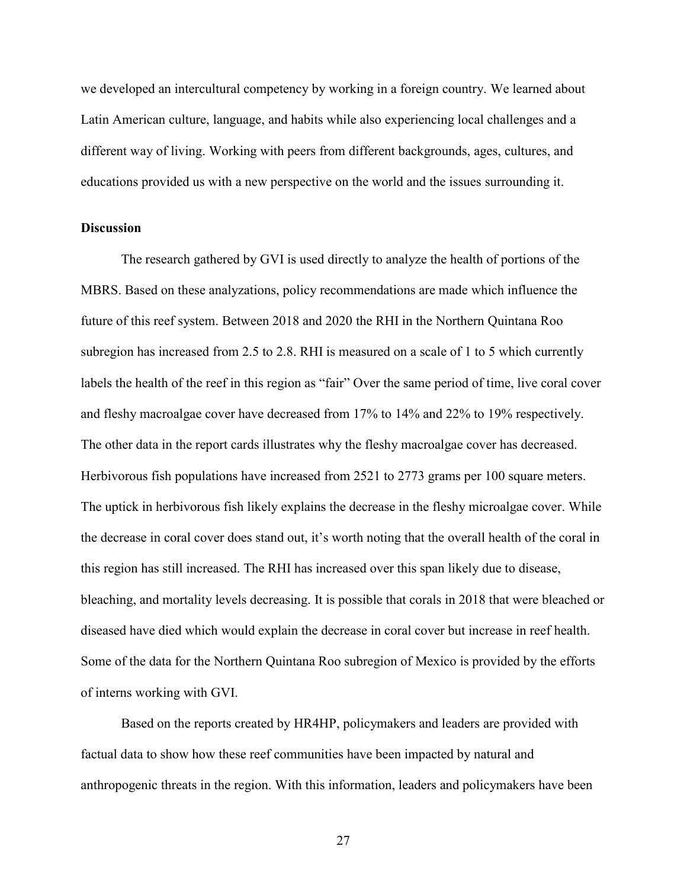we developed an intercultural competency by working in a foreign country. We learned about Latin American culture, language, and habits while also experiencing local challenges and a different way of living. Working with peers from different backgrounds, ages, cultures, and educations provided us with a new perspective on the world and the issues surrounding it.

### **Discussion**

The research gathered by GVI is used directly to analyze the health of portions of the MBRS. Based on these analyzations, policy recommendations are made which influence the future of this reef system. Between 2018 and 2020 the RHI in the Northern Quintana Roo subregion has increased from 2.5 to 2.8. RHI is measured on a scale of 1 to 5 which currently labels the health of the reef in this region as "fair" Over the same period of time, live coral cover and fleshy macroalgae cover have decreased from 17% to 14% and 22% to 19% respectively. The other data in the report cards illustrates why the fleshy macroalgae cover has decreased. Herbivorous fish populations have increased from 2521 to 2773 grams per 100 square meters. The uptick in herbivorous fish likely explains the decrease in the fleshy microalgae cover. While the decrease in coral cover does stand out, it's worth noting that the overall health of the coral in this region has still increased. The RHI has increased over this span likely due to disease, bleaching, and mortality levels decreasing. It is possible that corals in 2018 that were bleached or diseased have died which would explain the decrease in coral cover but increase in reef health. Some of the data for the Northern Quintana Roo subregion of Mexico is provided by the efforts of interns working with GVI.

Based on the reports created by HR4HP, policymakers and leaders are provided with factual data to show how these reef communities have been impacted by natural and anthropogenic threats in the region. With this information, leaders and policymakers have been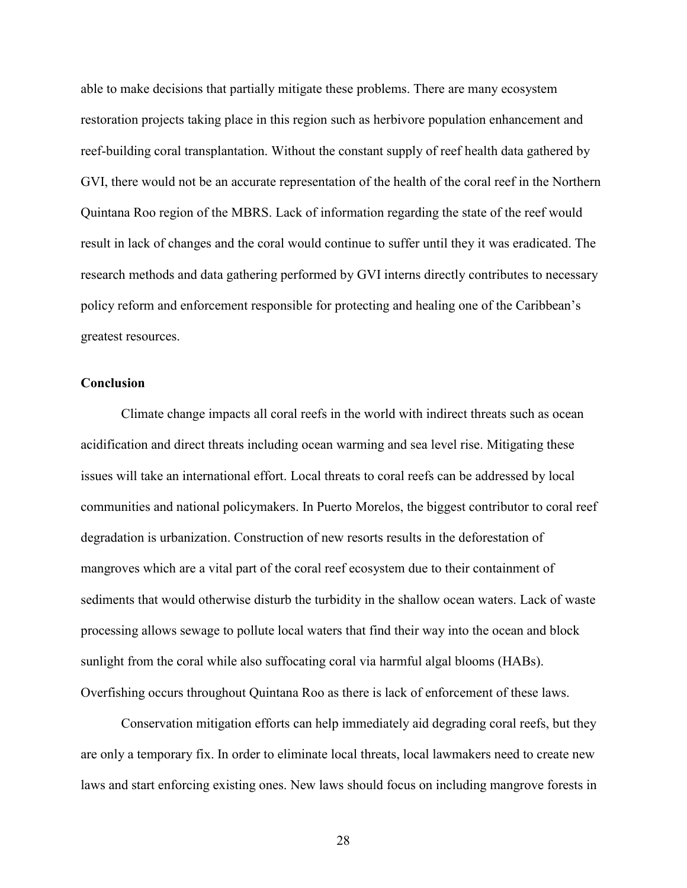able to make decisions that partially mitigate these problems. There are many ecosystem restoration projects taking place in this region such as herbivore population enhancement and reef-building coral transplantation. Without the constant supply of reef health data gathered by GVI, there would not be an accurate representation of the health of the coral reef in the Northern Quintana Roo region of the MBRS. Lack of information regarding the state of the reef would result in lack of changes and the coral would continue to suffer until they it was eradicated. The research methods and data gathering performed by GVI interns directly contributes to necessary policy reform and enforcement responsible for protecting and healing one of the Caribbean's greatest resources.

### **Conclusion**

Climate change impacts all coral reefs in the world with indirect threats such as ocean acidification and direct threats including ocean warming and sea level rise. Mitigating these issues will take an international effort. Local threats to coral reefs can be addressed by local communities and national policymakers. In Puerto Morelos, the biggest contributor to coral reef degradation is urbanization. Construction of new resorts results in the deforestation of mangroves which are a vital part of the coral reef ecosystem due to their containment of sediments that would otherwise disturb the turbidity in the shallow ocean waters. Lack of waste processing allows sewage to pollute local waters that find their way into the ocean and block sunlight from the coral while also suffocating coral via harmful algal blooms (HABs). Overfishing occurs throughout Quintana Roo as there is lack of enforcement of these laws.

Conservation mitigation efforts can help immediately aid degrading coral reefs, but they are only a temporary fix. In order to eliminate local threats, local lawmakers need to create new laws and start enforcing existing ones. New laws should focus on including mangrove forests in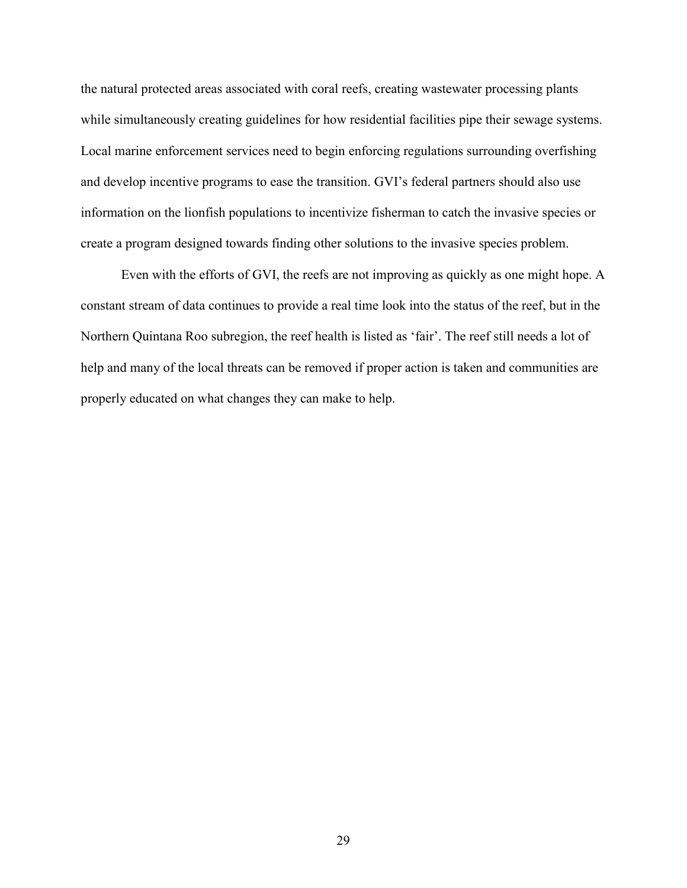the natural protected areas associated with coral reefs, creating wastewater processing plants while simultaneously creating guidelines for how residential facilities pipe their sewage systems. Local marine enforcement services need to begin enforcing regulations surrounding overfishing and develop incentive programs to ease the transition. GVI's federal partners should also use information on the lionfish populations to incentivize fisherman to catch the invasive species or create a program designed towards finding other solutions to the invasive species problem.

Even with the efforts of GVI, the reefs are not improving as quickly as one might hope. A constant stream of data continues to provide a real time look into the status of the reef, but in the Northern Quintana Roo subregion, the reef health is listed as 'fair'. The reef still needs a lot of help and many of the local threats can be removed if proper action is taken and communities are properly educated on what changes they can make to help.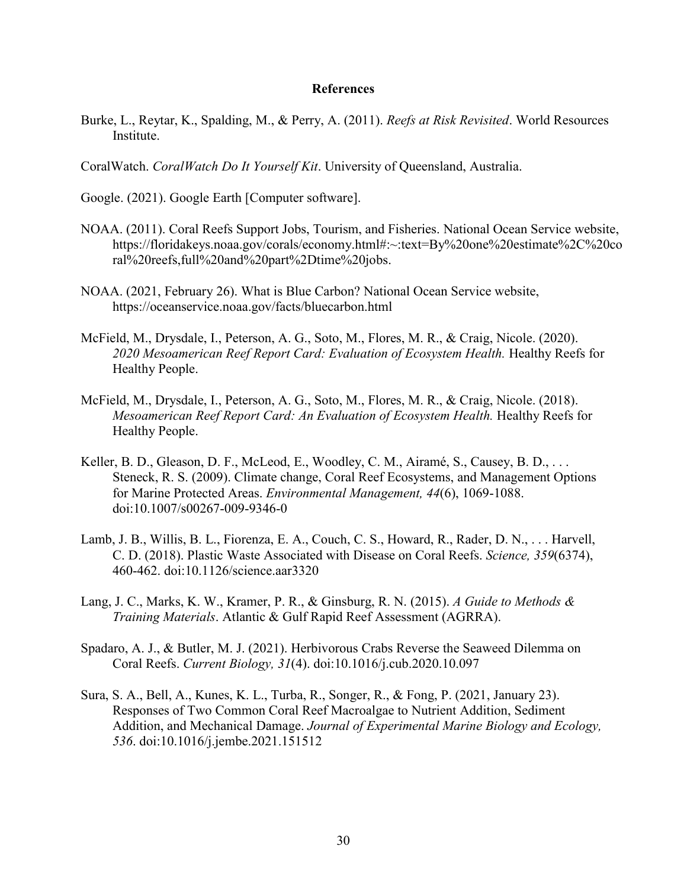### **References**

- Burke, L., Reytar, K., Spalding, M., & Perry, A. (2011). *Reefs at Risk Revisited*. World Resources Institute.
- CoralWatch. *CoralWatch Do It Yourself Kit*. University of Queensland, Australia.

Google. (2021). Google Earth [Computer software].

- NOAA. (2011). Coral Reefs Support Jobs, Tourism, and Fisheries. National Ocean Service website, https://floridakeys.noaa.gov/corals/economy.html#:~:text=By%20one%20estimate%2C%20co ral%20reefs,full%20and%20part%2Dtime%20jobs.
- NOAA. (2021, February 26). What is Blue Carbon? National Ocean Service website, https://oceanservice.noaa.gov/facts/bluecarbon.html
- McField, M., Drysdale, I., Peterson, A. G., Soto, M., Flores, M. R., & Craig, Nicole. (2020). *2020 Mesoamerican Reef Report Card: Evaluation of Ecosystem Health.* Healthy Reefs for Healthy People.
- McField, M., Drysdale, I., Peterson, A. G., Soto, M., Flores, M. R., & Craig, Nicole. (2018). *Mesoamerican Reef Report Card: An Evaluation of Ecosystem Health.* Healthy Reefs for Healthy People.
- Keller, B. D., Gleason, D. F., McLeod, E., Woodley, C. M., Airamé, S., Causey, B. D., . . . Steneck, R. S. (2009). Climate change, Coral Reef Ecosystems, and Management Options for Marine Protected Areas. *Environmental Management, 44*(6), 1069-1088. doi:10.1007/s00267-009-9346-0
- Lamb, J. B., Willis, B. L., Fiorenza, E. A., Couch, C. S., Howard, R., Rader, D. N., . . . Harvell, C. D. (2018). Plastic Waste Associated with Disease on Coral Reefs. *Science, 359*(6374), 460-462. doi:10.1126/science.aar3320
- Lang, J. C., Marks, K. W., Kramer, P. R., & Ginsburg, R. N. (2015). *A Guide to Methods & Training Materials*. Atlantic & Gulf Rapid Reef Assessment (AGRRA).
- Spadaro, A. J., & Butler, M. J. (2021). Herbivorous Crabs Reverse the Seaweed Dilemma on Coral Reefs. *Current Biology, 31*(4). doi:10.1016/j.cub.2020.10.097
- Sura, S. A., Bell, A., Kunes, K. L., Turba, R., Songer, R., & Fong, P. (2021, January 23). Responses of Two Common Coral Reef Macroalgae to Nutrient Addition, Sediment Addition, and Mechanical Damage. *Journal of Experimental Marine Biology and Ecology, 536*. doi:10.1016/j.jembe.2021.151512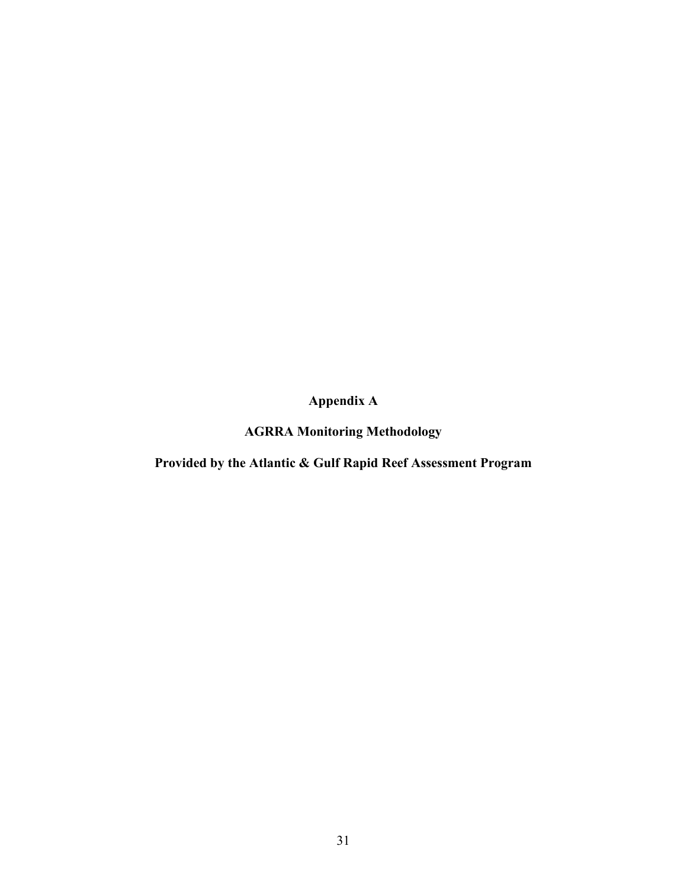**Appendix A**

**AGRRA Monitoring Methodology**

**Provided by the Atlantic & Gulf Rapid Reef Assessment Program**